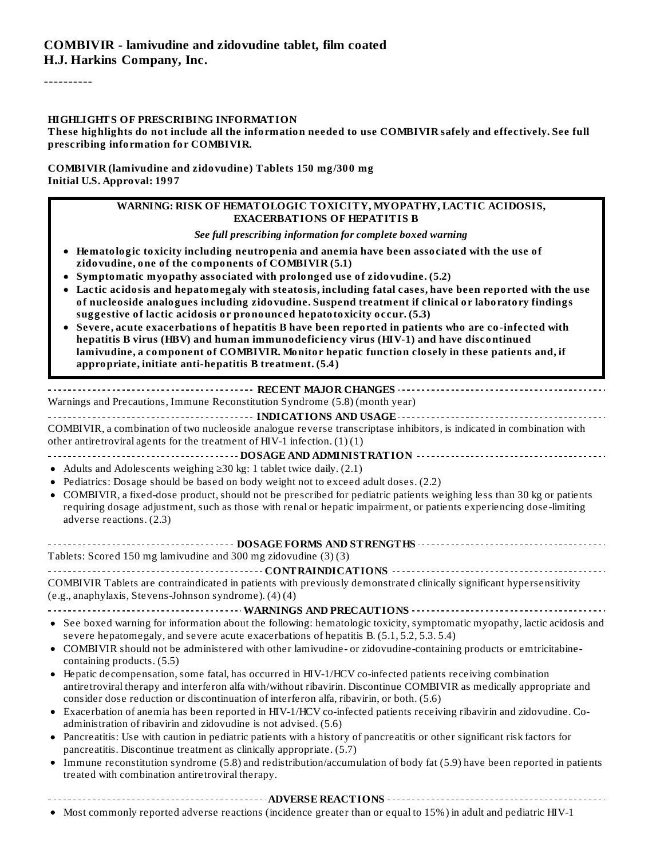----------

#### **HIGHLIGHTS OF PRESCRIBING INFORMATION**

These highlights do not include all the information needed to use COMBIVIR safely and effectively. See full **prescribing information for COMBIVIR.**

#### **COMBIVIR (lamivudine and zidovudine) Tablets 150 mg/300 mg Initial U.S. Approval: 1997**

#### **WARNING: RISK OF HEMATOLOGIC TOXICITY, MYOPATHY, LACTIC ACIDOSIS, EXACERBATIONS OF HEPATITIS B**

*See full prescribing information for complete boxed warning*

- **Hematologic toxicity including neutropenia and anemia have been associated with the use of zidovudine, one of the components of COMBIVIR (5.1)**
- **Symptomatic myopathy associated with prolonged use of zidovudine. (5.2)**
- **Lactic acidosis and hepatomegaly with steatosis, including fatal cases, have been reported with the use of nucleoside analogues including zidovudine. Suspend treatment if clinical or laboratory findings suggestive of lactic acidosis or pronounced hepatotoxicity occur. (5.3)**
- **Severe, acute exacerbations of hepatitis B have been reported in patients who are co-infected with hepatitis B virus (HBV) and human immunodeficiency virus (HIV-1) and have discontinued lamivudine, a component of COMBIVIR. Monitor hepatic function closely in these patients and, if appropriate, initiate anti-hepatitis B treatment. (5.4)**

**RECENT MAJOR CHANGES** Warnings and Precautions, Immune Reconstitution Syndrome (5.8) (month year)

**INDICATIONS AND USAGE** COMBIVIR, a combination of two nucleoside analogue reverse transcriptase inhibitors, is indicated in combination with other antiretroviral agents for the treatment of HIV-1 infection.  $(1)(1)$ 

- **DOSAGE AND ADMINISTRATION**
- Adults and Adolescents weighing ≥30 kg: 1 tablet twice daily. (2.1)
- Pediatrics: Dosage should be based on body weight not to exceed adult doses. (2.2)
- COMBIVIR, a fixed-dose product, should not be prescribed for pediatric patients weighing less than 30 kg or patients requiring dosage adjustment, such as those with renal or hepatic impairment, or patients experiencing dose-limiting adverse reactions. (2.3)

#### **DOSAGE FORMS AND STRENGTHS**

Tablets: Scored 150 mg lamivudine and 300 mg zidovudine (3) (3)

#### **CONTRAINDICATIONS**

COMBIVIR Tablets are contraindicated in patients with previously demonstrated clinically significant hypersensitivity (e.g., anaphylaxis, Stevens-Johnson syndrome). (4) (4)

**WARNINGS AND PRECAUTIONS**

- See boxed warning for information about the following: hematologic toxicity, symptomatic myopathy, lactic acidosis and severe hepatomegaly, and severe acute exacerbations of hepatitis B. (5.1, 5.2, 5.3. 5.4)
- COMBIVIR should not be administered with other lamivudine- or zidovudine-containing products or emtricitabinecontaining products. (5.5)
- Hepatic decompensation, some fatal, has occurred in HIV-1/HCV co-infected patients receiving combination antiretroviral therapy and interferon alfa with/without ribavirin. Discontinue COMBIVIR as medically appropriate and consider dose reduction or discontinuation of interferon alfa, ribavirin, or both. (5.6)
- Exacerbation of anemia has been reported in HIV-1/HCV co-infected patients receiving ribavirin and zidovudine. Coadministration of ribavirin and zidovudine is not advised. (5.6)
- Pancreatitis: Use with caution in pediatric patients with a history of pancreatitis or other significant risk factors for pancreatitis. Discontinue treatment as clinically appropriate. (5.7)
- Immune reconstitution syndrome (5.8) and redistribution/accumulation of body fat (5.9) have been reported in patients treated with combination antiretroviral therapy.

## **ADVERSE REACTIONS**

• Most commonly reported adverse reactions (incidence greater than or equal to 15%) in adult and pediatric HIV-1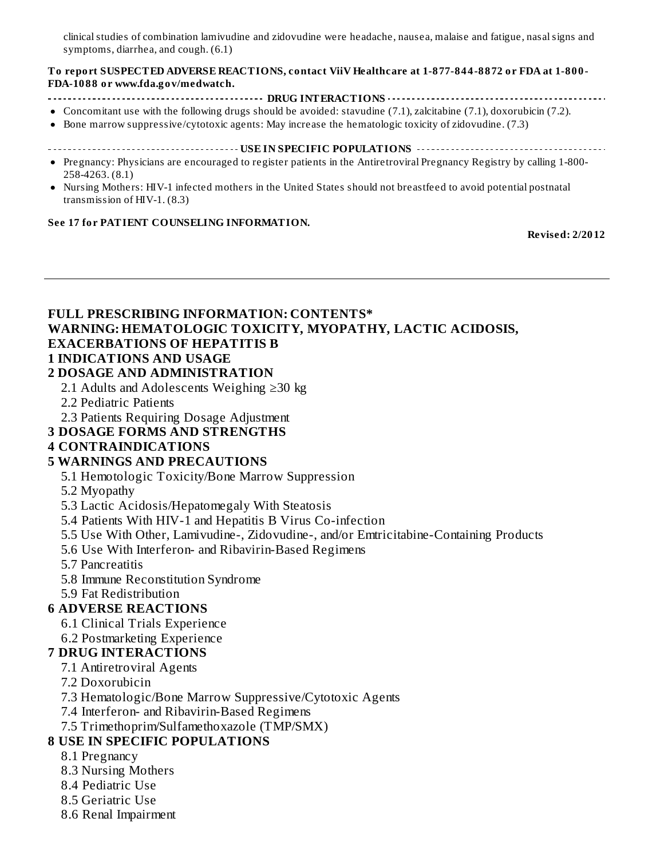clinical studies of combination lamivudine and zidovudine were headache, nausea, malaise and fatigue, nasal signs and symptoms, diarrhea, and cough. (6.1)

#### **To report SUSPECTED ADVERSE REACTIONS, contact ViiV Healthcare at 1-877-844-8872 or FDA at 1-800- FDA-1088 or www.fda.gov/medwatch.**

- **DRUG INTERACTIONS**
- Concomitant use with the following drugs should be avoided: stavudine (7.1), zalcitabine (7.1), doxorubicin (7.2).
- Bone marrow suppressive/cytotoxic agents: May increase the hematologic toxicity of zidovudine. (7.3)  $\bullet$
- **USE IN SPECIFIC POPULATIONS**
- Pregnancy: Physicians are encouraged to register patients in the Antiretroviral Pregnancy Registry by calling 1-800- 258-4263. (8.1)
- Nursing Mothers: HIV-1 infected mothers in the United States should not breastfeed to avoid potential postnatal transmission of HIV-1. (8.3)

#### **See 17 for PATIENT COUNSELING INFORMATION.**

**Revised: 2/2012**

## **FULL PRESCRIBING INFORMATION: CONTENTS\* WARNING: HEMATOLOGIC TOXICITY, MYOPATHY, LACTIC ACIDOSIS, EXACERBATIONS OF HEPATITIS B 1 INDICATIONS AND USAGE**

#### **2 DOSAGE AND ADMINISTRATION**

- 2.1 Adults and Adolescents Weighing ≥30 kg
- 2.2 Pediatric Patients
- 2.3 Patients Requiring Dosage Adjustment
- **3 DOSAGE FORMS AND STRENGTHS**

#### **4 CONTRAINDICATIONS**

#### **5 WARNINGS AND PRECAUTIONS**

5.1 Hemotologic Toxicity/Bone Marrow Suppression

- 5.2 Myopathy
- 5.3 Lactic Acidosis/Hepatomegaly With Steatosis
- 5.4 Patients With HIV-1 and Hepatitis B Virus Co-infection
- 5.5 Use With Other, Lamivudine-, Zidovudine-, and/or Emtricitabine-Containing Products
- 5.6 Use With Interferon- and Ribavirin-Based Regimens
- 5.7 Pancreatitis
- 5.8 Immune Reconstitution Syndrome
- 5.9 Fat Redistribution

#### **6 ADVERSE REACTIONS**

- 6.1 Clinical Trials Experience
- 6.2 Postmarketing Experience

#### **7 DRUG INTERACTIONS**

- 7.1 Antiretroviral Agents
- 7.2 Doxorubicin
- 7.3 Hematologic/Bone Marrow Suppressive/Cytotoxic Agents
- 7.4 Interferon- and Ribavirin-Based Regimens
- 7.5 Trimethoprim/Sulfamethoxazole (TMP/SMX)

#### **8 USE IN SPECIFIC POPULATIONS**

- 8.1 Pregnancy
- 8.3 Nursing Mothers
- 8.4 Pediatric Use
- 8.5 Geriatric Use
- 8.6 Renal Impairment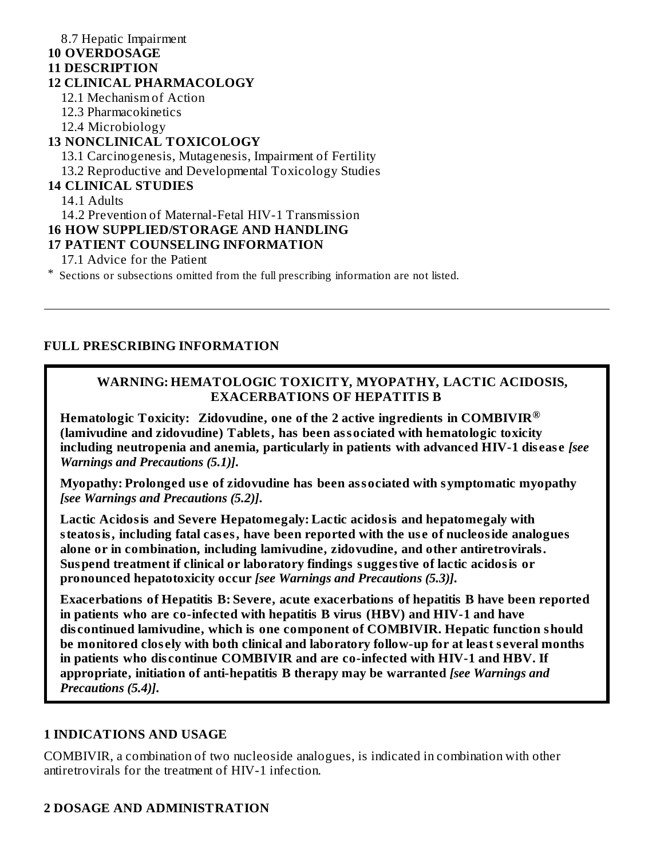#### 8.7 Hepatic Impairment **10 OVERDOSAGE 11 DESCRIPTION 12 CLINICAL PHARMACOLOGY** 12.1 Mechanism of Action 12.3 Pharmacokinetics 12.4 Microbiology **13 NONCLINICAL TOXICOLOGY** 13.1 Carcinogenesis, Mutagenesis, Impairment of Fertility 13.2 Reproductive and Developmental Toxicology Studies

#### **14 CLINICAL STUDIES**

14.1 Adults

14.2 Prevention of Maternal-Fetal HIV-1 Transmission

#### **16 HOW SUPPLIED/STORAGE AND HANDLING**

#### **17 PATIENT COUNSELING INFORMATION**

17.1 Advice for the Patient

\* Sections or subsections omitted from the full prescribing information are not listed.

#### **FULL PRESCRIBING INFORMATION**

#### **WARNING: HEMATOLOGIC TOXICITY, MYOPATHY, LACTIC ACIDOSIS, EXACERBATIONS OF HEPATITIS B**

**Hematologic Toxicity: Zidovudine, one of the 2 active ingredients in COMBIVIR ®(lamivudine and zidovudine) Tablets, has been associated with hematologic toxicity including neutropenia and anemia, particularly in patients with advanced HIV-1 dis eas e** *[see Warnings and Precautions (5.1)]***.**

**Myopathy: Prolonged us e of zidovudine has been associated with symptomatic myopathy** *[see Warnings and Precautions (5.2)]***.**

**Lactic Acidosis and Severe Hepatomegaly: Lactic acidosis and hepatomegaly with steatosis, including fatal cas es, have been reported with the us e of nucleoside analogues alone or in combination, including lamivudine, zidovudine, and other antiretrovirals. Suspend treatment if clinical or laboratory findings suggestive of lactic acidosis or pronounced hepatotoxicity occur** *[see Warnings and Precautions (5.3)]***.**

**Exacerbations of Hepatitis B: Severe, acute exacerbations of hepatitis B have been reported in patients who are co-infected with hepatitis B virus (HBV) and HIV-1 and have dis continued lamivudine, which is one component of COMBIVIR. Hepatic function should be monitored clos ely with both clinical and laboratory follow-up for at least s everal months in patients who dis continue COMBIVIR and are co-infected with HIV-1 and HBV. If appropriate, initiation of anti-hepatitis B therapy may be warranted** *[see Warnings and Precautions (5.4)]***.**

#### **1 INDICATIONS AND USAGE**

COMBIVIR, a combination of two nucleoside analogues, is indicated in combination with other antiretrovirals for the treatment of HIV-1 infection.

#### **2 DOSAGE AND ADMINISTRATION**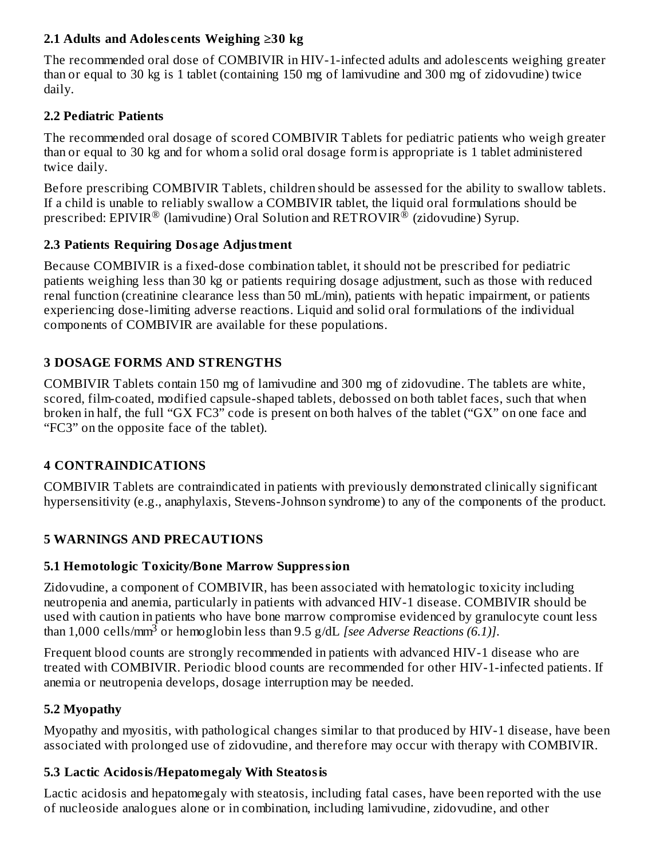## **2.1 Adults and Adoles cents Weighing ≥30 kg**

The recommended oral dose of COMBIVIR in HIV-1-infected adults and adolescents weighing greater than or equal to 30 kg is 1 tablet (containing 150 mg of lamivudine and 300 mg of zidovudine) twice daily.

#### **2.2 Pediatric Patients**

The recommended oral dosage of scored COMBIVIR Tablets for pediatric patients who weigh greater than or equal to 30 kg and for whom a solid oral dosage form is appropriate is 1 tablet administered twice daily.

Before prescribing COMBIVIR Tablets, children should be assessed for the ability to swallow tablets. If a child is unable to reliably swallow a COMBIVIR tablet, the liquid oral formulations should be prescribed: EPIVIR $^\circledR$  (lamivudine) Oral Solution and RETROVIR $^\circledR$  (zidovudine) Syrup.

## **2.3 Patients Requiring Dosage Adjustment**

Because COMBIVIR is a fixed-dose combination tablet, it should not be prescribed for pediatric patients weighing less than 30 kg or patients requiring dosage adjustment, such as those with reduced renal function (creatinine clearance less than 50 mL/min), patients with hepatic impairment, or patients experiencing dose-limiting adverse reactions. Liquid and solid oral formulations of the individual components of COMBIVIR are available for these populations.

## **3 DOSAGE FORMS AND STRENGTHS**

COMBIVIR Tablets contain 150 mg of lamivudine and 300 mg of zidovudine. The tablets are white, scored, film-coated, modified capsule-shaped tablets, debossed on both tablet faces, such that when broken in half, the full "GX FC3" code is present on both halves of the tablet ("GX" on one face and "FC3" on the opposite face of the tablet).

## **4 CONTRAINDICATIONS**

COMBIVIR Tablets are contraindicated in patients with previously demonstrated clinically significant hypersensitivity (e.g., anaphylaxis, Stevens-Johnson syndrome) to any of the components of the product.

## **5 WARNINGS AND PRECAUTIONS**

#### **5.1 Hemotologic Toxicity/Bone Marrow Suppression**

Zidovudine, a component of COMBIVIR, has been associated with hematologic toxicity including neutropenia and anemia, particularly in patients with advanced HIV-1 disease. COMBIVIR should be used with caution in patients who have bone marrow compromise evidenced by granulocyte count less than 1,000 cells/mm<sup>3</sup> or hemoglobin less than 9.5 g/dL *[see Adverse Reactions (6.1)]*.

Frequent blood counts are strongly recommended in patients with advanced HIV-1 disease who are treated with COMBIVIR. Periodic blood counts are recommended for other HIV-1-infected patients. If anemia or neutropenia develops, dosage interruption may be needed.

#### **5.2 Myopathy**

Myopathy and myositis, with pathological changes similar to that produced by HIV-1 disease, have been associated with prolonged use of zidovudine, and therefore may occur with therapy with COMBIVIR.

#### **5.3 Lactic Acidosis/Hepatomegaly With Steatosis**

Lactic acidosis and hepatomegaly with steatosis, including fatal cases, have been reported with the use of nucleoside analogues alone or in combination, including lamivudine, zidovudine, and other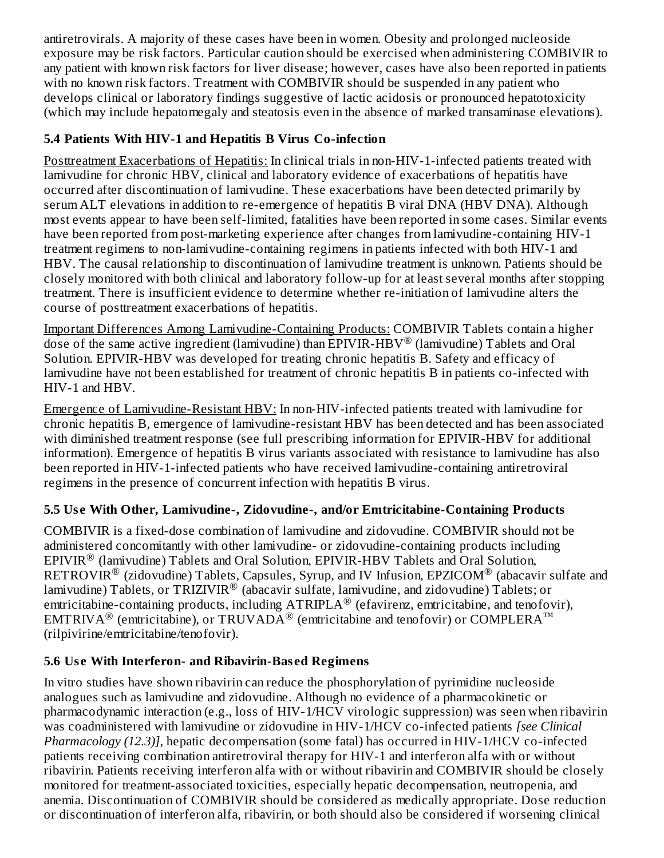antiretrovirals. A majority of these cases have been in women. Obesity and prolonged nucleoside exposure may be risk factors. Particular caution should be exercised when administering COMBIVIR to any patient with known risk factors for liver disease; however, cases have also been reported in patients with no known risk factors. Treatment with COMBIVIR should be suspended in any patient who develops clinical or laboratory findings suggestive of lactic acidosis or pronounced hepatotoxicity (which may include hepatomegaly and steatosis even in the absence of marked transaminase elevations).

## **5.4 Patients With HIV-1 and Hepatitis B Virus Co-infection**

Posttreatment Exacerbations of Hepatitis: In clinical trials in non-HIV-1-infected patients treated with lamivudine for chronic HBV, clinical and laboratory evidence of exacerbations of hepatitis have occurred after discontinuation of lamivudine. These exacerbations have been detected primarily by serum ALT elevations in addition to re-emergence of hepatitis B viral DNA (HBV DNA). Although most events appear to have been self-limited, fatalities have been reported in some cases. Similar events have been reported from post-marketing experience after changes from lamivudine-containing HIV-1 treatment regimens to non-lamivudine-containing regimens in patients infected with both HIV-1 and HBV. The causal relationship to discontinuation of lamivudine treatment is unknown. Patients should be closely monitored with both clinical and laboratory follow-up for at least several months after stopping treatment. There is insufficient evidence to determine whether re-initiation of lamivudine alters the course of posttreatment exacerbations of hepatitis.

Important Differences Among Lamivudine-Containing Products: COMBIVIR Tablets contain a higher dose of the same active ingredient (lamivudine) than EPIVIR-HBV<sup>®</sup> (lamivudine) Tablets and Oral Solution. EPIVIR-HBV was developed for treating chronic hepatitis B. Safety and efficacy of lamivudine have not been established for treatment of chronic hepatitis B in patients co-infected with HIV-1 and HBV.

Emergence of Lamivudine-Resistant HBV: In non-HIV-infected patients treated with lamivudine for chronic hepatitis B, emergence of lamivudine-resistant HBV has been detected and has been associated with diminished treatment response (see full prescribing information for EPIVIR-HBV for additional information). Emergence of hepatitis B virus variants associated with resistance to lamivudine has also been reported in HIV-1-infected patients who have received lamivudine-containing antiretroviral regimens in the presence of concurrent infection with hepatitis B virus.

## **5.5 Us e With Other, Lamivudine-, Zidovudine-, and/or Emtricitabine-Containing Products**

COMBIVIR is a fixed-dose combination of lamivudine and zidovudine. COMBIVIR should not be administered concomitantly with other lamivudine- or zidovudine-containing products including  $EPIVIR^®$  (lamivudine) Tablets and Oral Solution,  $EPIVIR-HBV$  Tablets and Oral Solution,  $\mathsf{RETROVIR}^\circledR$  (zidovudine) Tablets, Capsules, Syrup, and IV Infusion, EPZICOM $^\circledR$  (abacavir sulfate and lamivudine) Tablets, or TRIZIVIR $^\circledR$  (abacavir sulfate, lamivudine, and zidovudine) Tablets; or emtricitabine-containing products, including  $\text{ATRIPLA}^{\circledR}$  (efavirenz, emtricitabine, and tenofovir), EMTRIVA<sup>®</sup> (emtricitabine), or TRUVADA<sup>®</sup> (emtricitabine and tenofovir) or COMPLERA<sup>™</sup> (rilpivirine/emtricitabine/tenofovir).

## **5.6 Us e With Interferon- and Ribavirin-Bas ed Regimens**

In vitro studies have shown ribavirin can reduce the phosphorylation of pyrimidine nucleoside analogues such as lamivudine and zidovudine. Although no evidence of a pharmacokinetic or pharmacodynamic interaction (e.g., loss of HIV-1/HCV virologic suppression) was seen when ribavirin was coadministered with lamivudine or zidovudine in HIV-1/HCV co-infected patients *[see Clinical Pharmacology (12.3)]*, hepatic decompensation (some fatal) has occurred in HIV-1/HCV co-infected patients receiving combination antiretroviral therapy for HIV-1 and interferon alfa with or without ribavirin. Patients receiving interferon alfa with or without ribavirin and COMBIVIR should be closely monitored for treatment-associated toxicities, especially hepatic decompensation, neutropenia, and anemia. Discontinuation of COMBIVIR should be considered as medically appropriate. Dose reduction or discontinuation of interferon alfa, ribavirin, or both should also be considered if worsening clinical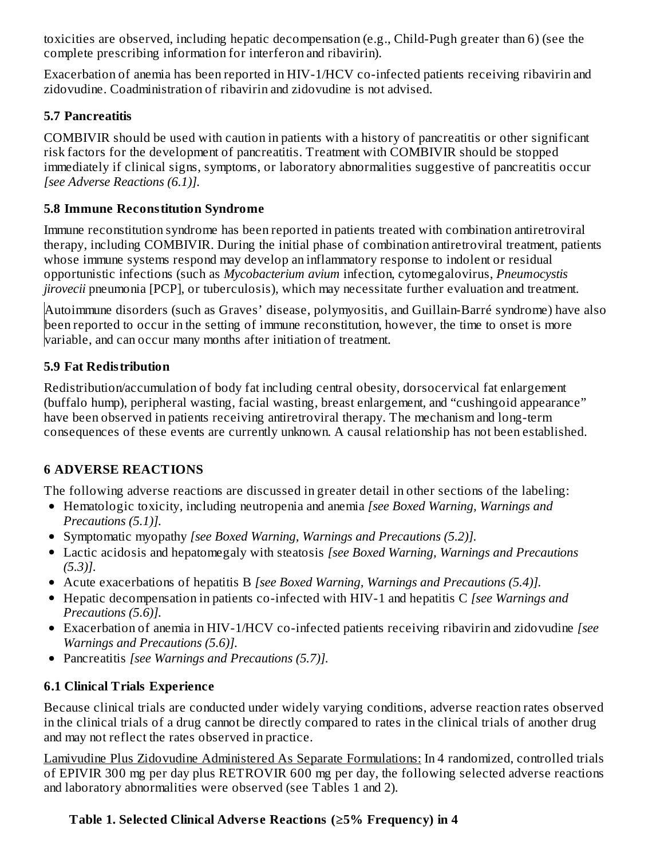toxicities are observed, including hepatic decompensation (e.g., Child-Pugh greater than 6) (see the complete prescribing information for interferon and ribavirin).

Exacerbation of anemia has been reported in HIV-1/HCV co-infected patients receiving ribavirin and zidovudine. Coadministration of ribavirin and zidovudine is not advised.

## **5.7 Pancreatitis**

COMBIVIR should be used with caution in patients with a history of pancreatitis or other significant risk factors for the development of pancreatitis. Treatment with COMBIVIR should be stopped immediately if clinical signs, symptoms, or laboratory abnormalities suggestive of pancreatitis occur *[see Adverse Reactions (6.1)].*

### **5.8 Immune Reconstitution Syndrome**

Immune reconstitution syndrome has been reported in patients treated with combination antiretroviral therapy, including COMBIVIR. During the initial phase of combination antiretroviral treatment, patients whose immune systems respond may develop an inflammatory response to indolent or residual opportunistic infections (such as *Mycobacterium avium* infection, cytomegalovirus, *Pneumocystis jirovecii* pneumonia [PCP], or tuberculosis), which may necessitate further evaluation and treatment.

Autoimmune disorders (such as Graves' disease, polymyositis, and Guillain-Barré syndrome) have also been reported to occur in the setting of immune reconstitution, however, the time to onset is more variable, and can occur many months after initiation of treatment.

## **5.9 Fat Redistribution**

Redistribution/accumulation of body fat including central obesity, dorsocervical fat enlargement (buffalo hump), peripheral wasting, facial wasting, breast enlargement, and "cushingoid appearance" have been observed in patients receiving antiretroviral therapy. The mechanism and long-term consequences of these events are currently unknown. A causal relationship has not been established.

## **6 ADVERSE REACTIONS**

The following adverse reactions are discussed in greater detail in other sections of the labeling:

- Hematologic toxicity, including neutropenia and anemia *[see Boxed Warning, Warnings and Precautions (5.1)].*
- Symptomatic myopathy *[see Boxed Warning, Warnings and Precautions (5.2)].*
- Lactic acidosis and hepatomegaly with steatosis *[see Boxed Warning, Warnings and Precautions (5.3)].*
- Acute exacerbations of hepatitis B *[see Boxed Warning, Warnings and Precautions (5.4)].*
- Hepatic decompensation in patients co-infected with HIV-1 and hepatitis C *[see Warnings and Precautions (5.6)].*
- Exacerbation of anemia in HIV-1/HCV co-infected patients receiving ribavirin and zidovudine *[see Warnings and Precautions (5.6)].*
- Pancreatitis *[see Warnings and Precautions (5.7)].*

## **6.1 Clinical Trials Experience**

Because clinical trials are conducted under widely varying conditions, adverse reaction rates observed in the clinical trials of a drug cannot be directly compared to rates in the clinical trials of another drug and may not reflect the rates observed in practice.

Lamivudine Plus Zidovudine Administered As Separate Formulations: In 4 randomized, controlled trials of EPIVIR 300 mg per day plus RETROVIR 600 mg per day, the following selected adverse reactions and laboratory abnormalities were observed (see Tables 1 and 2).

## **Table 1. Selected Clinical Advers e Reactions (≥5% Frequency) in 4**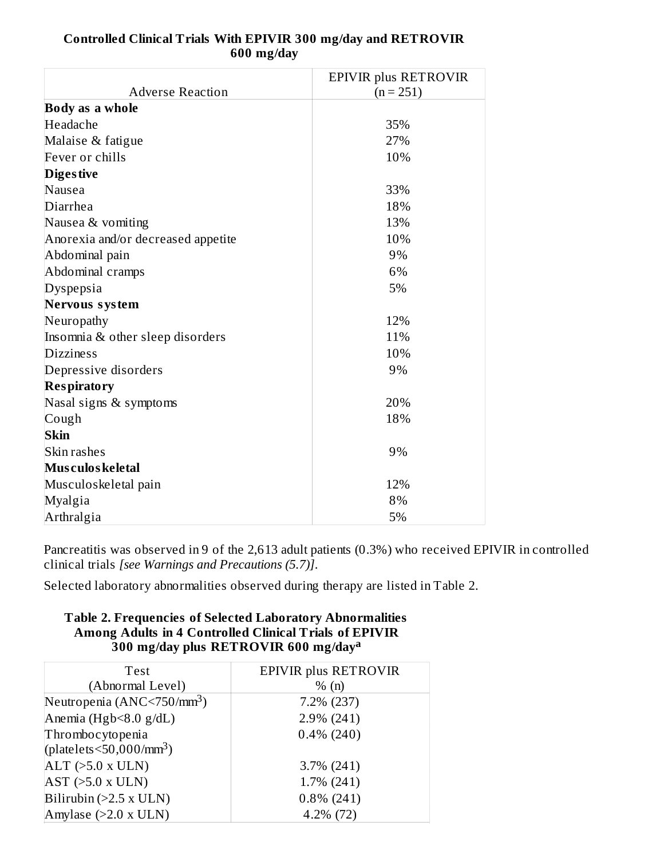| Controlled Clinical Trials With EPIVIR 300 mg/day and RETROVIR |
|----------------------------------------------------------------|
| $600$ mg/day                                                   |

|                                    | <b>EPIVIR plus RETROVIR</b> |
|------------------------------------|-----------------------------|
| <b>Adverse Reaction</b>            | $(n = 251)$                 |
| <b>Body as a whole</b>             |                             |
| Headache                           | 35%                         |
| Malaise & fatigue                  | 27%                         |
| Fever or chills                    | 10%                         |
| <b>Diges tive</b>                  |                             |
| <b>Nausea</b>                      | 33%                         |
| Diarrhea                           | 18%                         |
| Nausea & vomiting                  | 13%                         |
| Anorexia and/or decreased appetite | 10%                         |
| Abdominal pain                     | 9%                          |
| Abdominal cramps                   | 6%                          |
| Dyspepsia                          | 5%                          |
| Nervous system                     |                             |
| Neuropathy                         | 12%                         |
| Insomnia & other sleep disorders   | 11%                         |
| <b>Dizziness</b>                   | 10%                         |
| Depressive disorders               | 9%                          |
| <b>Respiratory</b>                 |                             |
| Nasal signs & symptoms             | 20%                         |
| Cough                              | 18%                         |
| <b>Skin</b>                        |                             |
| Skin rashes                        | 9%                          |
| Mus culos keletal                  |                             |
| Musculoskeletal pain               | 12%                         |
| Myalgia                            | 8%                          |
| Arthralgia                         | 5%                          |

Pancreatitis was observed in 9 of the 2,613 adult patients (0.3%) who received EPIVIR in controlled clinical trials *[see Warnings and Precautions (5.7)]*.

Selected laboratory abnormalities observed during therapy are listed in Table 2.

#### **Table 2. Frequencies of Selected Laboratory Abnormalities Among Adults in 4 Controlled Clinical Trials of EPIVIR 300 mg/day plus RETROVIR 600 mg/day a**

| Test                                       | <b>EPIVIR plus RETROVIR</b> |
|--------------------------------------------|-----------------------------|
| (Abnormal Level)                           | % (n)                       |
| Neutropenia (ANC<750/mm <sup>3</sup> )     | 7.2% (237)                  |
| Anemia (Hgb<8.0 g/dL)                      | 2.9% (241)                  |
| Thrombocytopenia                           | $0.4\%$ (240)               |
| (platelets $\leq$ 50,000/mm <sup>3</sup> ) |                             |
| $ALT$ ( $>5.0$ x ULN)                      | $3.7\%$ (241)               |
| $AST$ ( $>5.0$ x ULN)                      | $1.7\%$ (241)               |
| Bilirubin $(>2.5 x ULN)$                   | $0.8\%$ (241)               |
| Amylase (>2.0 x ULN)                       | $4.2\%$ (72)                |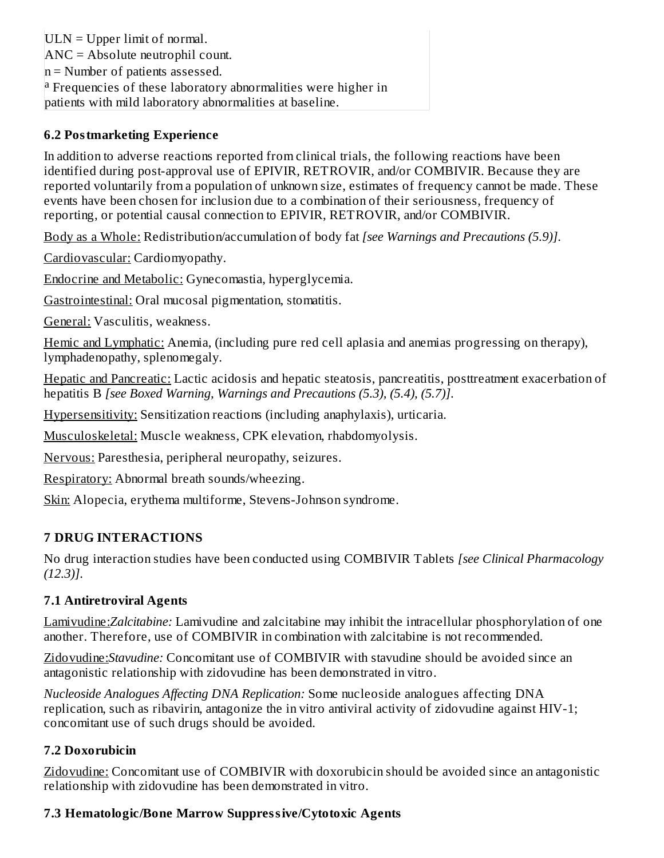$ULN = Upper$  limit of normal. ANC = Absolute neutrophil count.  $n =$  Number of patients assessed. <sup>a</sup> Frequencies of these laboratory abnormalities were higher in patients with mild laboratory abnormalities at baseline.

#### **6.2 Postmarketing Experience**

In addition to adverse reactions reported from clinical trials, the following reactions have been identified during post-approval use of EPIVIR, RETROVIR, and/or COMBIVIR. Because they are reported voluntarily from a population of unknown size, estimates of frequency cannot be made. These events have been chosen for inclusion due to a combination of their seriousness, frequency of reporting, or potential causal connection to EPIVIR, RETROVIR, and/or COMBIVIR.

Body as a Whole: Redistribution/accumulation of body fat *[see Warnings and Precautions (5.9)]*.

Cardiovascular: Cardiomyopathy.

Endocrine and Metabolic: Gynecomastia, hyperglycemia.

Gastrointestinal: Oral mucosal pigmentation, stomatitis.

General: Vasculitis, weakness.

Hemic and Lymphatic: Anemia, (including pure red cell aplasia and anemias progressing on therapy), lymphadenopathy, splenomegaly.

Hepatic and Pancreatic: Lactic acidosis and hepatic steatosis, pancreatitis, posttreatment exacerbation of hepatitis B *[see Boxed Warning, Warnings and Precautions (5.3), (5.4), (5.7)]*.

Hypersensitivity: Sensitization reactions (including anaphylaxis), urticaria.

Musculoskeletal: Muscle weakness, CPK elevation, rhabdomyolysis.

Nervous: Paresthesia, peripheral neuropathy, seizures.

Respiratory: Abnormal breath sounds/wheezing.

Skin: Alopecia, erythema multiforme, Stevens-Johnson syndrome.

#### **7 DRUG INTERACTIONS**

No drug interaction studies have been conducted using COMBIVIR Tablets *[see Clinical Pharmacology (12.3)]*.

#### **7.1 Antiretroviral Agents**

Lamivudine:*Zalcitabine:* Lamivudine and zalcitabine may inhibit the intracellular phosphorylation of one another. Therefore, use of COMBIVIR in combination with zalcitabine is not recommended.

Zidovudine:*Stavudine:* Concomitant use of COMBIVIR with stavudine should be avoided since an antagonistic relationship with zidovudine has been demonstrated in vitro.

*Nucleoside Analogues Affecting DNA Replication:* Some nucleoside analogues affecting DNA replication, such as ribavirin, antagonize the in vitro antiviral activity of zidovudine against HIV-1; concomitant use of such drugs should be avoided.

#### **7.2 Doxorubicin**

Zidovudine: Concomitant use of COMBIVIR with doxorubicin should be avoided since an antagonistic relationship with zidovudine has been demonstrated in vitro.

#### **7.3 Hematologic/Bone Marrow Suppressive/Cytotoxic Agents**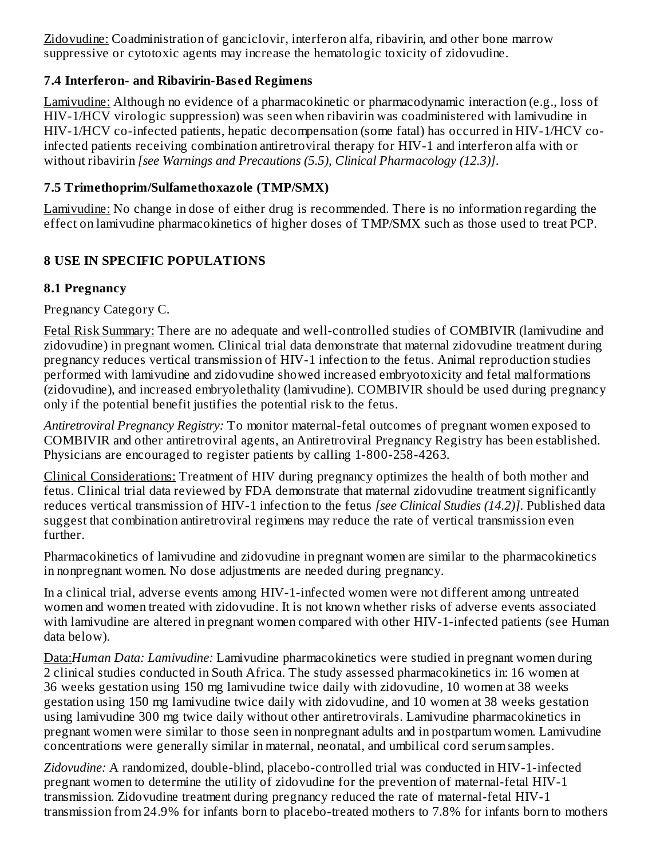Zidovudine: Coadministration of ganciclovir, interferon alfa, ribavirin, and other bone marrow suppressive or cytotoxic agents may increase the hematologic toxicity of zidovudine.

## **7.4 Interferon- and Ribavirin-Bas ed Regimens**

Lamivudine: Although no evidence of a pharmacokinetic or pharmacodynamic interaction (e.g., loss of HIV-1/HCV virologic suppression) was seen when ribavirin was coadministered with lamivudine in HIV-1/HCV co-infected patients, hepatic decompensation (some fatal) has occurred in HIV-1/HCV coinfected patients receiving combination antiretroviral therapy for HIV-1 and interferon alfa with or without ribavirin *[see Warnings and Precautions (5.5), Clinical Pharmacology (12.3)]*.

## **7.5 Trimethoprim/Sulfamethoxazole (TMP/SMX)**

Lamivudine: No change in dose of either drug is recommended. There is no information regarding the effect on lamivudine pharmacokinetics of higher doses of TMP/SMX such as those used to treat PCP.

## **8 USE IN SPECIFIC POPULATIONS**

#### **8.1 Pregnancy**

Pregnancy Category C.

Fetal Risk Summary: There are no adequate and well-controlled studies of COMBIVIR (lamivudine and zidovudine) in pregnant women. Clinical trial data demonstrate that maternal zidovudine treatment during pregnancy reduces vertical transmission of HIV-1 infection to the fetus. Animal reproduction studies performed with lamivudine and zidovudine showed increased embryotoxicity and fetal malformations (zidovudine), and increased embryolethality (lamivudine). COMBIVIR should be used during pregnancy only if the potential benefit justifies the potential risk to the fetus.

*Antiretroviral Pregnancy Registry:* To monitor maternal-fetal outcomes of pregnant women exposed to COMBIVIR and other antiretroviral agents, an Antiretroviral Pregnancy Registry has been established. Physicians are encouraged to register patients by calling 1-800-258-4263.

Clinical Considerations: Treatment of HIV during pregnancy optimizes the health of both mother and fetus. Clinical trial data reviewed by FDA demonstrate that maternal zidovudine treatment significantly reduces vertical transmission of HIV-1 infection to the fetus *[see Clinical Studies (14.2)]*. Published data suggest that combination antiretroviral regimens may reduce the rate of vertical transmission even further.

Pharmacokinetics of lamivudine and zidovudine in pregnant women are similar to the pharmacokinetics in nonpregnant women. No dose adjustments are needed during pregnancy.

In a clinical trial, adverse events among HIV-1-infected women were not different among untreated women and women treated with zidovudine. It is not known whether risks of adverse events associated with lamivudine are altered in pregnant women compared with other HIV-1-infected patients (see Human data below).

Data:*Human Data: Lamivudine:* Lamivudine pharmacokinetics were studied in pregnant women during 2 clinical studies conducted in South Africa. The study assessed pharmacokinetics in: 16 women at 36 weeks gestation using 150 mg lamivudine twice daily with zidovudine, 10 women at 38 weeks gestation using 150 mg lamivudine twice daily with zidovudine, and 10 women at 38 weeks gestation using lamivudine 300 mg twice daily without other antiretrovirals. Lamivudine pharmacokinetics in pregnant women were similar to those seen in nonpregnant adults and in postpartum women. Lamivudine concentrations were generally similar in maternal, neonatal, and umbilical cord serum samples.

*Zidovudine:* A randomized, double-blind, placebo-controlled trial was conducted in HIV-1-infected pregnant women to determine the utility of zidovudine for the prevention of maternal-fetal HIV-1 transmission. Zidovudine treatment during pregnancy reduced the rate of maternal-fetal HIV-1 transmission from 24.9% for infants born to placebo-treated mothers to 7.8% for infants born to mothers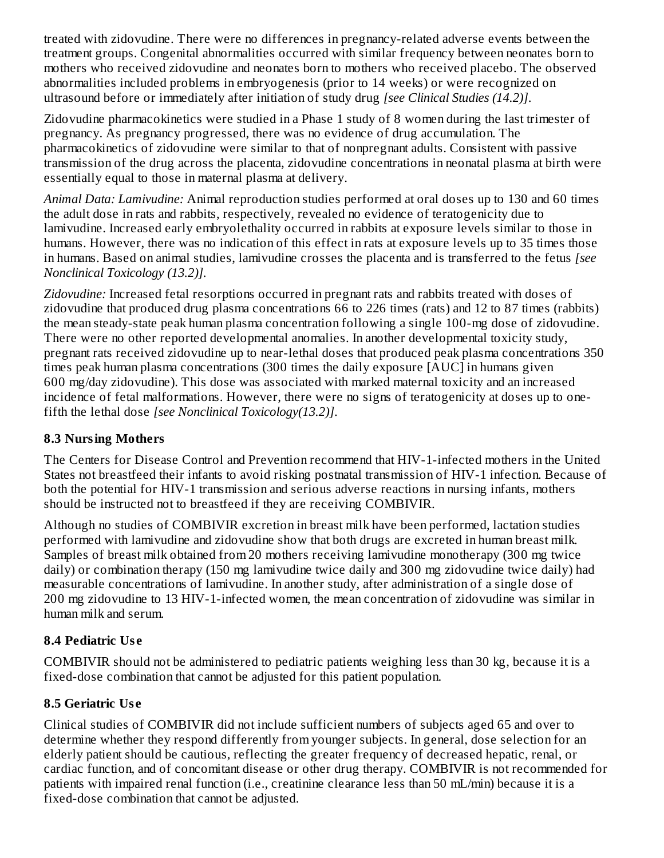treated with zidovudine. There were no differences in pregnancy-related adverse events between the treatment groups. Congenital abnormalities occurred with similar frequency between neonates born to mothers who received zidovudine and neonates born to mothers who received placebo. The observed abnormalities included problems in embryogenesis (prior to 14 weeks) or were recognized on ultrasound before or immediately after initiation of study drug *[see Clinical Studies (14.2)]*.

Zidovudine pharmacokinetics were studied in a Phase 1 study of 8 women during the last trimester of pregnancy. As pregnancy progressed, there was no evidence of drug accumulation. The pharmacokinetics of zidovudine were similar to that of nonpregnant adults. Consistent with passive transmission of the drug across the placenta, zidovudine concentrations in neonatal plasma at birth were essentially equal to those in maternal plasma at delivery.

*Animal Data: Lamivudine:* Animal reproduction studies performed at oral doses up to 130 and 60 times the adult dose in rats and rabbits, respectively, revealed no evidence of teratogenicity due to lamivudine. Increased early embryolethality occurred in rabbits at exposure levels similar to those in humans. However, there was no indication of this effect in rats at exposure levels up to 35 times those in humans. Based on animal studies, lamivudine crosses the placenta and is transferred to the fetus *[see Nonclinical Toxicology (13.2)].*

*Zidovudine:* Increased fetal resorptions occurred in pregnant rats and rabbits treated with doses of zidovudine that produced drug plasma concentrations 66 to 226 times (rats) and 12 to 87 times (rabbits) the mean steady-state peak human plasma concentration following a single 100-mg dose of zidovudine. There were no other reported developmental anomalies. In another developmental toxicity study, pregnant rats received zidovudine up to near-lethal doses that produced peak plasma concentrations 350 times peak human plasma concentrations (300 times the daily exposure [AUC] in humans given 600 mg/day zidovudine). This dose was associated with marked maternal toxicity and an increased incidence of fetal malformations. However, there were no signs of teratogenicity at doses up to onefifth the lethal dose *[see Nonclinical Toxicology(13.2)]*.

#### **8.3 Nursing Mothers**

The Centers for Disease Control and Prevention recommend that HIV-1-infected mothers in the United States not breastfeed their infants to avoid risking postnatal transmission of HIV-1 infection. Because of both the potential for HIV-1 transmission and serious adverse reactions in nursing infants, mothers should be instructed not to breastfeed if they are receiving COMBIVIR.

Although no studies of COMBIVIR excretion in breast milk have been performed, lactation studies performed with lamivudine and zidovudine show that both drugs are excreted in human breast milk. Samples of breast milk obtained from 20 mothers receiving lamivudine monotherapy (300 mg twice daily) or combination therapy (150 mg lamivudine twice daily and 300 mg zidovudine twice daily) had measurable concentrations of lamivudine. In another study, after administration of a single dose of 200 mg zidovudine to 13 HIV-1-infected women, the mean concentration of zidovudine was similar in human milk and serum.

## **8.4 Pediatric Us e**

COMBIVIR should not be administered to pediatric patients weighing less than 30 kg, because it is a fixed-dose combination that cannot be adjusted for this patient population.

## **8.5 Geriatric Us e**

Clinical studies of COMBIVIR did not include sufficient numbers of subjects aged 65 and over to determine whether they respond differently from younger subjects. In general, dose selection for an elderly patient should be cautious, reflecting the greater frequency of decreased hepatic, renal, or cardiac function, and of concomitant disease or other drug therapy. COMBIVIR is not recommended for patients with impaired renal function (i.e., creatinine clearance less than 50 mL/min) because it is a fixed-dose combination that cannot be adjusted.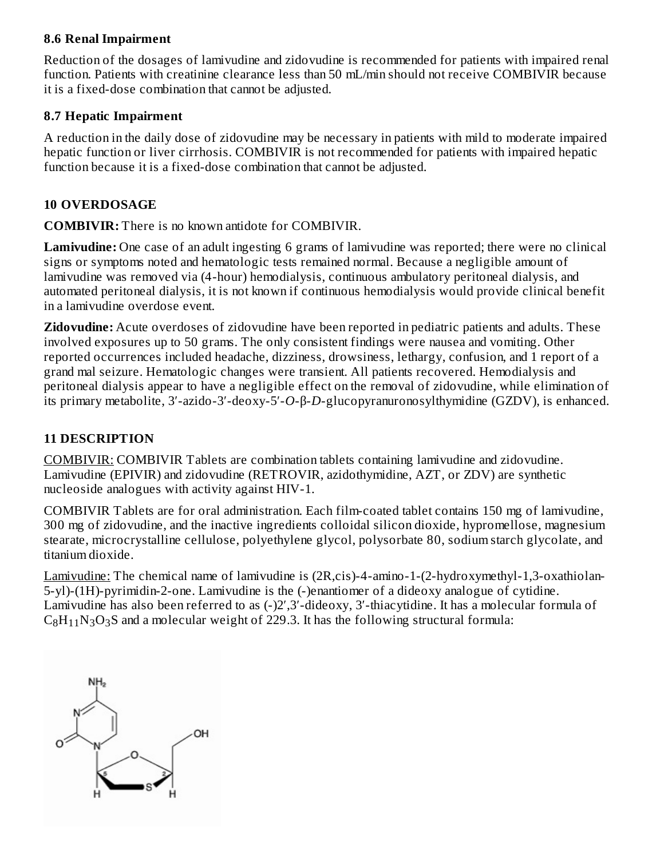#### **8.6 Renal Impairment**

Reduction of the dosages of lamivudine and zidovudine is recommended for patients with impaired renal function. Patients with creatinine clearance less than 50 mL/min should not receive COMBIVIR because it is a fixed-dose combination that cannot be adjusted*.*

#### **8.7 Hepatic Impairment**

A reduction in the daily dose of zidovudine may be necessary in patients with mild to moderate impaired hepatic function or liver cirrhosis. COMBIVIR is not recommended for patients with impaired hepatic function because it is a fixed-dose combination that cannot be adjusted.

#### **10 OVERDOSAGE**

**COMBIVIR:** There is no known antidote for COMBIVIR.

**Lamivudine:** One case of an adult ingesting 6 grams of lamivudine was reported; there were no clinical signs or symptoms noted and hematologic tests remained normal. Because a negligible amount of lamivudine was removed via (4-hour) hemodialysis, continuous ambulatory peritoneal dialysis, and automated peritoneal dialysis, it is not known if continuous hemodialysis would provide clinical benefit in a lamivudine overdose event.

**Zidovudine:** Acute overdoses of zidovudine have been reported in pediatric patients and adults. These involved exposures up to 50 grams. The only consistent findings were nausea and vomiting. Other reported occurrences included headache, dizziness, drowsiness, lethargy, confusion, and 1 report of a grand mal seizure. Hematologic changes were transient. All patients recovered. Hemodialysis and peritoneal dialysis appear to have a negligible effect on the removal of zidovudine, while elimination of its primary metabolite, 3′-azido-3′-deoxy-5′-*O*-β-*D*-glucopyranuronosylthymidine (GZDV), is enhanced.

#### **11 DESCRIPTION**

COMBIVIR: COMBIVIR Tablets are combination tablets containing lamivudine and zidovudine. Lamivudine (EPIVIR) and zidovudine (RETROVIR, azidothymidine, AZT, or ZDV) are synthetic nucleoside analogues with activity against HIV-1.

COMBIVIR Tablets are for oral administration. Each film-coated tablet contains 150 mg of lamivudine, 300 mg of zidovudine, and the inactive ingredients colloidal silicon dioxide, hypromellose, magnesium stearate, microcrystalline cellulose, polyethylene glycol, polysorbate 80, sodium starch glycolate, and titanium dioxide.

Lamivudine: The chemical name of lamivudine is (2R,cis)-4-amino-1-(2-hydroxymethyl-1,3-oxathiolan-5-yl)-(1H)-pyrimidin-2-one. Lamivudine is the (-)enantiomer of a dideoxy analogue of cytidine. Lamivudine has also been referred to as (-)2′,3′-dideoxy, 3′-thiacytidine. It has a molecular formula of  $C_8H_{11}N_3O_3S$  and a molecular weight of 229.3. It has the following structural formula:

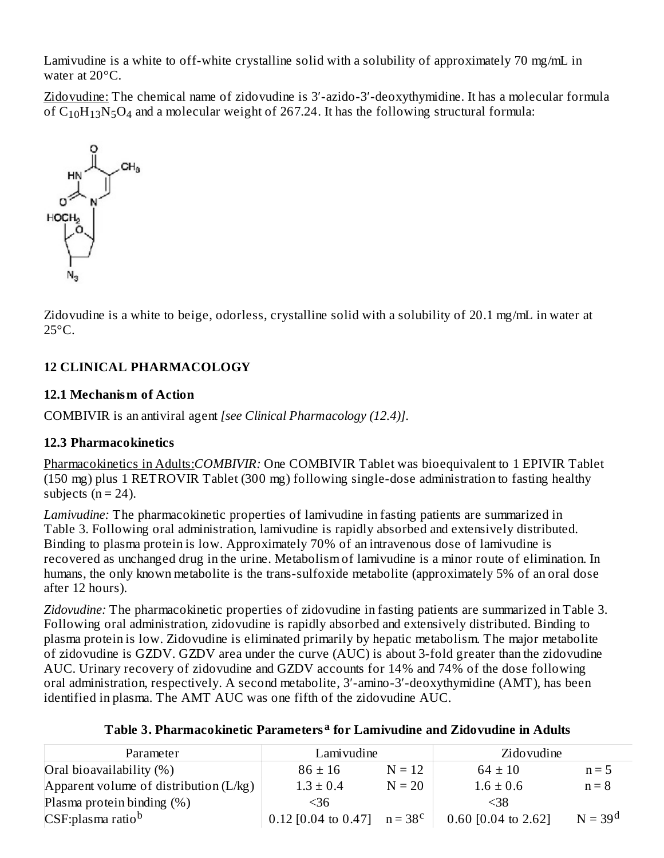Lamivudine is a white to off-white crystalline solid with a solubility of approximately 70 mg/mL in water at 20°C.

Zidovudine: The chemical name of zidovudine is 3′-azido-3′-deoxythymidine. It has a molecular formula of  $C_{10}H_{13}N_5O_4$  and a molecular weight of 267.24. It has the following structural formula:



Zidovudine is a white to beige, odorless, crystalline solid with a solubility of 20.1 mg/mL in water at  $25^{\circ}$ C.

## **12 CLINICAL PHARMACOLOGY**

## **12.1 Mechanism of Action**

COMBIVIR is an antiviral agent *[see Clinical Pharmacology (12.4)]*.

## **12.3 Pharmacokinetics**

Pharmacokinetics in Adults:*COMBIVIR:* One COMBIVIR Tablet was bioequivalent to 1 EPIVIR Tablet (150 mg) plus 1 RETROVIR Tablet (300 mg) following single-dose administration to fasting healthy subjects ( $n = 24$ ).

*Lamivudine:* The pharmacokinetic properties of lamivudine in fasting patients are summarized in Table 3. Following oral administration, lamivudine is rapidly absorbed and extensively distributed. Binding to plasma protein is low. Approximately 70% of an intravenous dose of lamivudine is recovered as unchanged drug in the urine. Metabolism of lamivudine is a minor route of elimination. In humans, the only known metabolite is the trans-sulfoxide metabolite (approximately 5% of an oral dose after 12 hours).

*Zidovudine:* The pharmacokinetic properties of zidovudine in fasting patients are summarized in Table 3. Following oral administration, zidovudine is rapidly absorbed and extensively distributed. Binding to plasma protein is low. Zidovudine is eliminated primarily by hepatic metabolism. The major metabolite of zidovudine is GZDV. GZDV area under the curve (AUC) is about 3-fold greater than the zidovudine AUC. Urinary recovery of zidovudine and GZDV accounts for 14% and 74% of the dose following oral administration, respectively. A second metabolite, 3′-amino-3′-deoxythymidine (AMT), has been identified in plasma. The AMT AUC was one fifth of the zidovudine AUC.

|  | Table 3. Pharmacokinetic Parameters <sup>a</sup> for Lamivudine and Zidovudine in Adults |  |  |  |  |  |
|--|------------------------------------------------------------------------------------------|--|--|--|--|--|
|--|------------------------------------------------------------------------------------------|--|--|--|--|--|

| Parameter                                | Lamivudine            |                  | Zidovudine            |           |
|------------------------------------------|-----------------------|------------------|-----------------------|-----------|
| Oral bioavailability $(\%)$              | $86 \pm 16$           | $N = 12$         | $64 \pm 10$           | $n = 5$   |
| Apparent volume of distribution $(L/kg)$ | $1.3 \pm 0.4$         | $N = 20$         | $1.6 \pm 0.6$         | $n = 8$   |
| Plasma protein binding (%)               | <36                   |                  | $<$ 38                |           |
| $\big $ CSF:plasma ratio <sup>b</sup>    | $0.12$ [0.04 to 0.47] | $n = 38^{\circ}$ | 0.60 $[0.04$ to 2.62] | $N = 39d$ |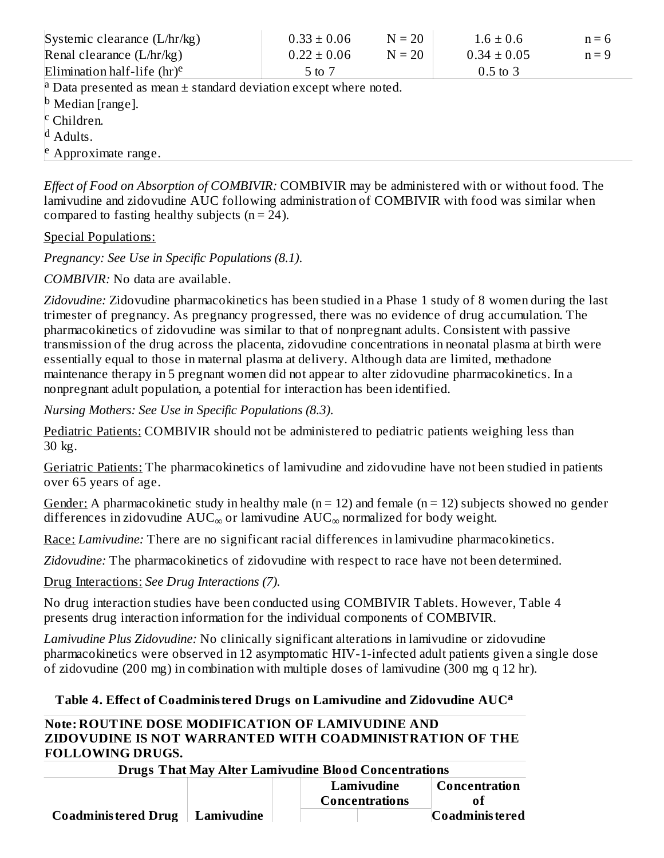| $0.33 \pm 0.06$                                                                  | $N = 20$ | $1.6 \pm 0.6$   | $n = 6$ |  |  |  |  |
|----------------------------------------------------------------------------------|----------|-----------------|---------|--|--|--|--|
| $0.22 \pm 0.06$                                                                  | $N = 20$ | $0.34 \pm 0.05$ | $n = 9$ |  |  |  |  |
| 5 to 7                                                                           |          | $0.5$ to $3$    |         |  |  |  |  |
| <sup>a</sup> Data presented as mean $\pm$ standard deviation except where noted. |          |                 |         |  |  |  |  |
| $\vert$ <sup>b</sup> Median [range].                                             |          |                 |         |  |  |  |  |
| $\vert$ <sup>c</sup> Children.                                                   |          |                 |         |  |  |  |  |
| $\vert d$ Adults.                                                                |          |                 |         |  |  |  |  |
| <sup>e</sup> Approximate range.                                                  |          |                 |         |  |  |  |  |
|                                                                                  |          |                 |         |  |  |  |  |

*Effect of Food on Absorption of COMBIVIR:* COMBIVIR may be administered with or without food. The lamivudine and zidovudine AUC following administration of COMBIVIR with food was similar when compared to fasting healthy subjects  $(n = 24)$ .

Special Populations:

*Pregnancy: See Use in Specific Populations (8.1)*.

*COMBIVIR:* No data are available.

*Zidovudine:* Zidovudine pharmacokinetics has been studied in a Phase 1 study of 8 women during the last trimester of pregnancy. As pregnancy progressed, there was no evidence of drug accumulation. The pharmacokinetics of zidovudine was similar to that of nonpregnant adults. Consistent with passive transmission of the drug across the placenta, zidovudine concentrations in neonatal plasma at birth were essentially equal to those in maternal plasma at delivery. Although data are limited, methadone maintenance therapy in 5 pregnant women did not appear to alter zidovudine pharmacokinetics. In a nonpregnant adult population, a potential for interaction has been identified.

*Nursing Mothers: See Use in Specific Populations (8.3)*.

Pediatric Patients: COMBIVIR should not be administered to pediatric patients weighing less than 30 kg.

Geriatric Patients: The pharmacokinetics of lamivudine and zidovudine have not been studied in patients over 65 years of age.

Gender: A pharmacokinetic study in healthy male ( $n = 12$ ) and female ( $n = 12$ ) subjects showed no gender differences in zidovudine  $\text{AUC}_\infty$  or lamivudine  $\text{AUC}_\infty$  normalized for body weight.

Race: *Lamivudine:* There are no significant racial differences in lamivudine pharmacokinetics.

*Zidovudine:* The pharmacokinetics of zidovudine with respect to race have not been determined.

Drug Interactions: *See Drug Interactions (7).*

No drug interaction studies have been conducted using COMBIVIR Tablets. However, Table 4 presents drug interaction information for the individual components of COMBIVIR.

*Lamivudine Plus Zidovudine:* No clinically significant alterations in lamivudine or zidovudine pharmacokinetics were observed in 12 asymptomatic HIV-1-infected adult patients given a single dose of zidovudine (200 mg) in combination with multiple doses of lamivudine (300 mg q 12 hr).

#### **Table 4. Effect of Coadministered Drugs on Lamivudine and Zidovudine AUC a**

#### **Note: ROUTINE DOSE MODIFICATION OF LAMIVUDINE AND ZIDOVUDINE IS NOT WARRANTED WITH COADMINISTRATION OF THE FOLLOWING DRUGS.**

| <b>Drugs That May Alter Lamivudine Blood Concentrations</b> |            |  |  |                |                                       |  |  |
|-------------------------------------------------------------|------------|--|--|----------------|---------------------------------------|--|--|
| Concentration<br>Lamivudine                                 |            |  |  |                |                                       |  |  |
|                                                             |            |  |  | Concentrations |                                       |  |  |
| <b>Coadministered Drug</b>                                  | Lamivudine |  |  |                | $\mathsf{\mathbf{C}{o}}$ administered |  |  |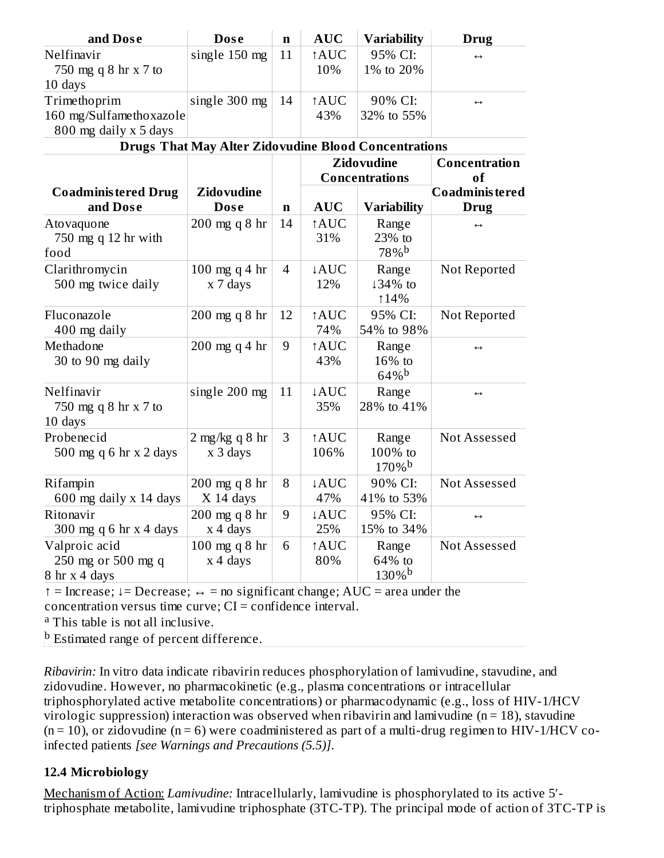| and Dose                                                         | <b>Dose</b>                                                      | $\mathbf n$    | <b>AUC</b>         | <b>Variability</b>                         | Drug                                          |
|------------------------------------------------------------------|------------------------------------------------------------------|----------------|--------------------|--------------------------------------------|-----------------------------------------------|
| Nelfinavir<br>750 mg q 8 hr x 7 to<br>10 days                    | single 150 mg<br><b>AUC</b><br>95% CI:<br>11<br>10%<br>1% to 20% |                | $\leftrightarrow$  |                                            |                                               |
| Trimethoprim<br>160 mg/Sulfamethoxazole<br>800 mg daily x 5 days | single 300 mg                                                    | 14             | ↑AUC<br>43%        | 90% CI:<br>32% to 55%                      | $\leftrightarrow$                             |
|                                                                  | <b>Drugs That May Alter Zidovudine Blood Concentrations</b>      |                |                    |                                            |                                               |
|                                                                  |                                                                  |                |                    | <b>Zidovudine</b><br><b>Concentrations</b> | <b>Concentration</b><br>of<br>Coadminis tered |
| <b>Coadministered Drug</b><br>and Dose                           | <b>Zidovudine</b><br><b>Dose</b>                                 | $\mathbf n$    | <b>AUC</b>         | <b>Variability</b>                         | <b>Drug</b>                                   |
| Atovaquone<br>750 mg q 12 hr with<br>food                        | 200 mg q 8 hr                                                    | 14             | <b>AUC</b><br>31%  | Range<br>23% to<br>78%b                    | $\leftrightarrow$                             |
| Clarithromycin<br>500 mg twice daily                             | 100 mg q 4 hr<br>x 7 days                                        | $\overline{4}$ | ↓AUC<br>12%        | Range<br>↓34% to<br>114%                   | Not Reported                                  |
| Fluconazole<br>400 mg daily                                      | 200 mg q 8 hr                                                    | 12             | <b>AUC</b><br>74%  | 95% CI:<br>54% to 98%                      | Not Reported                                  |
| Methadone<br>30 to 90 mg daily                                   | $200$ mg q 4 hr                                                  | 9              | <b>AUC</b><br>43%  | Range<br>16% to<br>$64\%$ <sup>b</sup>     | $\leftrightarrow$                             |
| Nelfinavir<br>750 mg q 8 hr x 7 to<br>10 days                    | single 200 mg                                                    | 11             | ↓AUC<br>35%        | Range<br>28% to 41%                        | $\leftrightarrow$                             |
| Probenecid<br>500 mg q 6 hr x 2 days                             | $2$ mg/kg q 8 hr<br>x 3 days                                     | 3              | <b>AUC</b><br>106% | Range<br>100% to<br>$170%$ <sup>b</sup>    | Not Assessed                                  |
| Rifampin<br>600 mg daily x 14 days                               | 200 mg q 8 hr<br>$X$ 14 days                                     | 8              | <b>AUC</b><br>47%  | 90% CI:<br>41% to 53%                      | Not Assessed                                  |
| Ritonavir<br>300 mg q 6 hr $x$ 4 days                            | 200 mg q 8 hr<br>$x$ 4 days                                      | 9              | <b>AUC</b><br>25%  | 95% CI:<br>15% to 34%                      | $\leftrightarrow$                             |
| Valproic acid<br>250 mg or 500 mg q<br>8 hr x 4 days             | 100 mg q 8 hr<br>x 4 days                                        | 6              | <b>AUC</b><br>80%  | Range<br>64% to<br>$130\%$ <sup>b</sup>    | Not Assessed                                  |

↑ = Increase; ↓= Decrease; ↔ = no significant change; AUC = area under the concentration versus time curve;  $CI =$  confidence interval.

<sup>a</sup> This table is not all inclusive.

<sup>b</sup> Estimated range of percent difference.

*Ribavirin:* In vitro data indicate ribavirin reduces phosphorylation of lamivudine, stavudine, and zidovudine. However, no pharmacokinetic (e.g., plasma concentrations or intracellular triphosphorylated active metabolite concentrations) or pharmacodynamic (e.g., loss of HIV-1/HCV virologic suppression) interaction was observed when ribavirin and lamivudine ( $n = 18$ ), stavudine  $(n = 10)$ , or zidovudine  $(n = 6)$  were coadministered as part of a multi-drug regimen to HIV-1/HCV coinfected patients *[see Warnings and Precautions (5.5)]*.

#### **12.4 Microbiology**

Mechanism of Action: *Lamivudine:* Intracellularly, lamivudine is phosphorylated to its active 5′ triphosphate metabolite, lamivudine triphosphate (3TC-TP). The principal mode of action of 3TC-TP is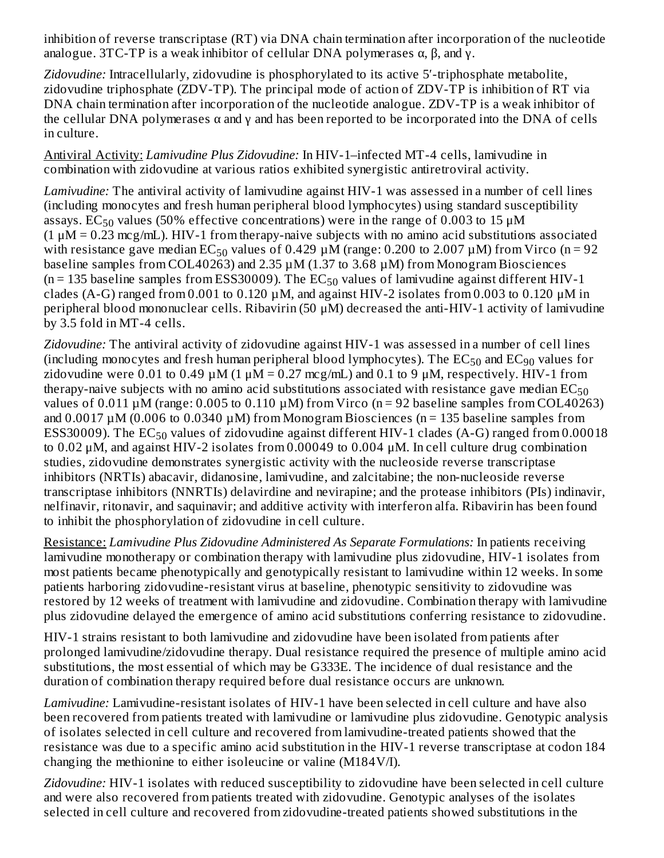inhibition of reverse transcriptase (RT) via DNA chain termination after incorporation of the nucleotide analogue. 3TC-TP is a weak inhibitor of cellular DNA polymerases  $\alpha$ ,  $\beta$ , and  $\gamma$ .

*Zidovudine:* Intracellularly, zidovudine is phosphorylated to its active 5′-triphosphate metabolite, zidovudine triphosphate (ZDV-TP). The principal mode of action of ZDV-TP is inhibition of RT via DNA chain termination after incorporation of the nucleotide analogue. ZDV-TP is a weak inhibitor of the cellular DNA polymerases  $\alpha$  and  $\gamma$  and has been reported to be incorporated into the DNA of cells in culture.

Antiviral Activity: *Lamivudine Plus Zidovudine:* In HIV-1–infected MT-4 cells, lamivudine in combination with zidovudine at various ratios exhibited synergistic antiretroviral activity.

*Lamivudine:* The antiviral activity of lamivudine against HIV-1 was assessed in a number of cell lines (including monocytes and fresh human peripheral blood lymphocytes) using standard susceptibility assays.  $\text{EC}_{50}$  values (50% effective concentrations) were in the range of 0.003 to 15  $\mu\text{M}$  $(1 \mu M = 0.23 \text{ mcg/mL})$ . HIV-1 from therapy-naive subjects with no amino acid substitutions associated with resistance gave median  $EC_{50}$  values of 0.429  $\mu$ M (range: 0.200 to 2.007  $\mu$ M) from Virco (n = 92 baseline samples from COL40263) and 2.35 µM (1.37 to 3.68 µM) from Monogram Biosciences  $(n = 135$  baseline samples from ESS30009). The  $EC_{50}$  values of lamivudine against different HIV-1 clades (A-G) ranged from 0.001 to 0.120 µM, and against HIV-2 isolates from 0.003 to 0.120 μM in peripheral blood mononuclear cells. Ribavirin (50 μM) decreased the anti-HIV-1 activity of lamivudine by 3.5 fold in MT-4 cells.

*Zidovudine:* The antiviral activity of zidovudine against HIV-1 was assessed in a number of cell lines (including monocytes and fresh human peripheral blood lymphocytes). The  $\mathrm{EC}_{50}$  and  $\mathrm{EC}_{90}$  values for zidovudine were 0.01 to 0.49  $\mu$ M (1  $\mu$ M = 0.27 mcg/mL) and 0.1 to 9  $\mu$ M, respectively. HIV-1 from therapy-naive subjects with no amino acid substitutions associated with resistance gave median  $\mathrm{EC}_{50}$ values of 0.011  $\mu$ M (range: 0.005 to 0.110  $\mu$ M) from Virco (n = 92 baseline samples from COL40263) and  $0.0017 \mu M$  (0.006 to 0.0340  $\mu$ M) from Monogram Biosciences (n = 135 baseline samples from ESS30009). The  $\mathrm{EC}_{50}$  values of zidovudine against different HIV-1 clades (A-G) ranged from 0.00018 to 0.02 μM, and against HIV-2 isolates from 0.00049 to 0.004 μM. In cell culture drug combination studies, zidovudine demonstrates synergistic activity with the nucleoside reverse transcriptase inhibitors (NRTIs) abacavir, didanosine, lamivudine, and zalcitabine; the non-nucleoside reverse transcriptase inhibitors (NNRTIs) delavirdine and nevirapine; and the protease inhibitors (PIs) indinavir, nelfinavir, ritonavir, and saquinavir; and additive activity with interferon alfa. Ribavirin has been found to inhibit the phosphorylation of zidovudine in cell culture.

Resistance: *Lamivudine Plus Zidovudine Administered As Separate Formulations:* In patients receiving lamivudine monotherapy or combination therapy with lamivudine plus zidovudine, HIV-1 isolates from most patients became phenotypically and genotypically resistant to lamivudine within 12 weeks. In some patients harboring zidovudine-resistant virus at baseline, phenotypic sensitivity to zidovudine was restored by 12 weeks of treatment with lamivudine and zidovudine. Combination therapy with lamivudine plus zidovudine delayed the emergence of amino acid substitutions conferring resistance to zidovudine.

HIV-1 strains resistant to both lamivudine and zidovudine have been isolated from patients after prolonged lamivudine/zidovudine therapy. Dual resistance required the presence of multiple amino acid substitutions, the most essential of which may be G333E. The incidence of dual resistance and the duration of combination therapy required before dual resistance occurs are unknown.

*Lamivudine:* Lamivudine-resistant isolates of HIV-1 have been selected in cell culture and have also been recovered from patients treated with lamivudine or lamivudine plus zidovudine. Genotypic analysis of isolates selected in cell culture and recovered from lamivudine-treated patients showed that the resistance was due to a specific amino acid substitution in the HIV-1 reverse transcriptase at codon 184 changing the methionine to either isoleucine or valine (M184V/I).

*Zidovudine:* HIV-1 isolates with reduced susceptibility to zidovudine have been selected in cell culture and were also recovered from patients treated with zidovudine. Genotypic analyses of the isolates selected in cell culture and recovered from zidovudine-treated patients showed substitutions in the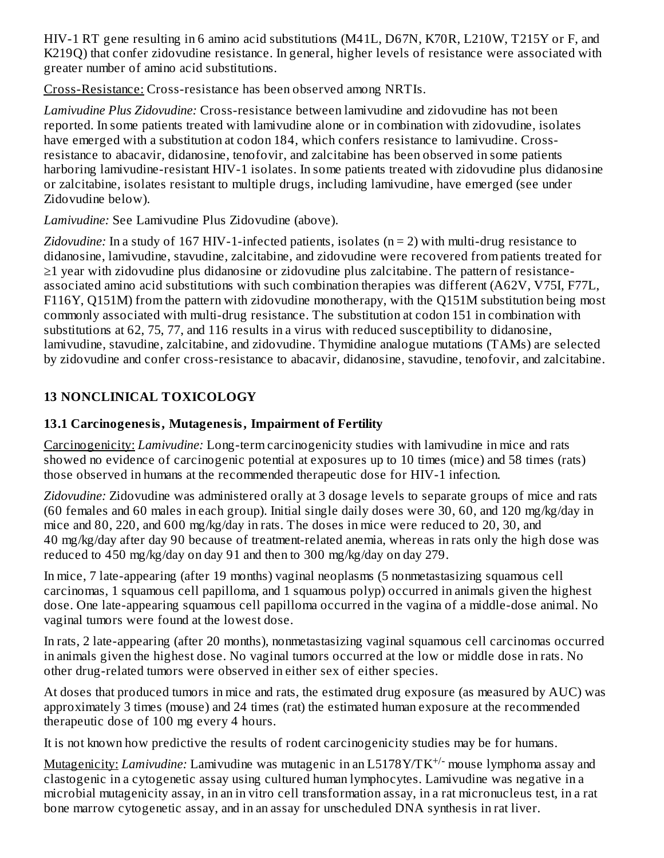HIV-1 RT gene resulting in 6 amino acid substitutions (M41L, D67N, K70R, L210W, T215Y or F, and K219Q) that confer zidovudine resistance. In general, higher levels of resistance were associated with greater number of amino acid substitutions.

Cross-Resistance: Cross-resistance has been observed among NRTIs.

*Lamivudine Plus Zidovudine:* Cross-resistance between lamivudine and zidovudine has not been reported. In some patients treated with lamivudine alone or in combination with zidovudine, isolates have emerged with a substitution at codon 184, which confers resistance to lamivudine. Crossresistance to abacavir, didanosine, tenofovir, and zalcitabine has been observed in some patients harboring lamivudine-resistant HIV-1 isolates. In some patients treated with zidovudine plus didanosine or zalcitabine, isolates resistant to multiple drugs, including lamivudine, have emerged (see under Zidovudine below).

*Lamivudine:* See Lamivudine Plus Zidovudine (above).

*Zidovudine:* In a study of 167 HIV-1-infected patients, isolates (n = 2) with multi-drug resistance to didanosine, lamivudine, stavudine, zalcitabine, and zidovudine were recovered from patients treated for ≥1 year with zidovudine plus didanosine or zidovudine plus zalcitabine. The pattern of resistanceassociated amino acid substitutions with such combination therapies was different (A62V, V75I, F77L, F116Y, Q151M) from the pattern with zidovudine monotherapy, with the Q151M substitution being most commonly associated with multi-drug resistance. The substitution at codon 151 in combination with substitutions at 62, 75, 77, and 116 results in a virus with reduced susceptibility to didanosine, lamivudine, stavudine, zalcitabine, and zidovudine. Thymidine analogue mutations (TAMs) are selected by zidovudine and confer cross-resistance to abacavir, didanosine, stavudine, tenofovir, and zalcitabine.

## **13 NONCLINICAL TOXICOLOGY**

## **13.1 Carcinogenesis, Mutagenesis, Impairment of Fertility**

Carcinogenicity: *Lamivudine:* Long-term carcinogenicity studies with lamivudine in mice and rats showed no evidence of carcinogenic potential at exposures up to 10 times (mice) and 58 times (rats) those observed in humans at the recommended therapeutic dose for HIV-1 infection.

*Zidovudine:* Zidovudine was administered orally at 3 dosage levels to separate groups of mice and rats (60 females and 60 males in each group). Initial single daily doses were 30, 60, and 120 mg/kg/day in mice and 80, 220, and 600 mg/kg/day in rats. The doses in mice were reduced to 20, 30, and 40 mg/kg/day after day 90 because of treatment-related anemia, whereas in rats only the high dose was reduced to 450 mg/kg/day on day 91 and then to 300 mg/kg/day on day 279.

In mice, 7 late-appearing (after 19 months) vaginal neoplasms (5 nonmetastasizing squamous cell carcinomas, 1 squamous cell papilloma, and 1 squamous polyp) occurred in animals given the highest dose. One late-appearing squamous cell papilloma occurred in the vagina of a middle-dose animal. No vaginal tumors were found at the lowest dose.

In rats, 2 late-appearing (after 20 months), nonmetastasizing vaginal squamous cell carcinomas occurred in animals given the highest dose. No vaginal tumors occurred at the low or middle dose in rats. No other drug-related tumors were observed in either sex of either species.

At doses that produced tumors in mice and rats, the estimated drug exposure (as measured by AUC) was approximately 3 times (mouse) and 24 times (rat) the estimated human exposure at the recommended therapeutic dose of 100 mg every 4 hours.

It is not known how predictive the results of rodent carcinogenicity studies may be for humans.

Mutagenicity: *Lamivudine:* Lamivudine was mutagenic in an L5178Y/TK<sup>+/-</sup> mouse lymphoma assay and clastogenic in a cytogenetic assay using cultured human lymphocytes. Lamivudine was negative in a microbial mutagenicity assay, in an in vitro cell transformation assay, in a rat micronucleus test, in a rat bone marrow cytogenetic assay, and in an assay for unscheduled DNA synthesis in rat liver.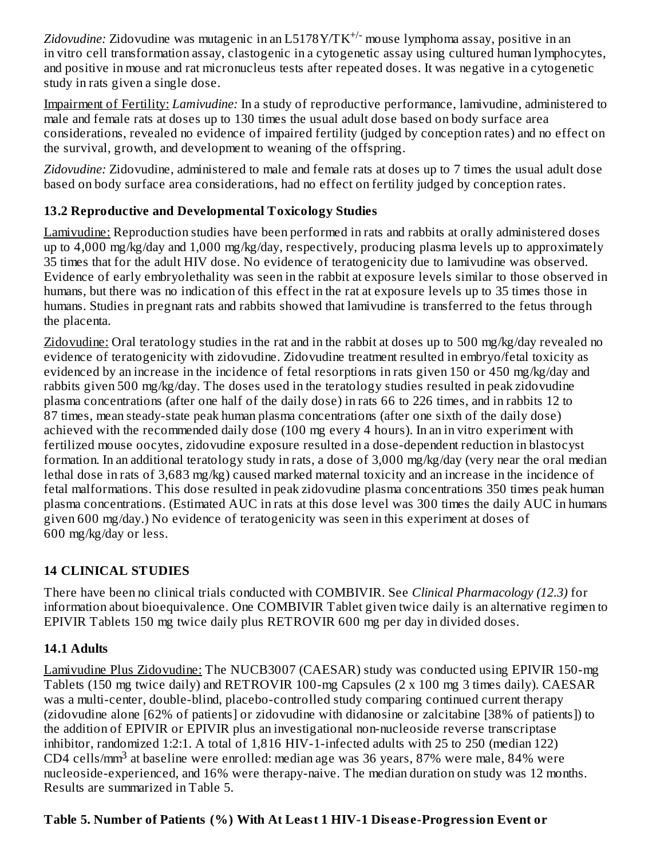Zidovudine: Zidovudine was mutagenic in an L5178Y/TK<sup>+/-</sup> mouse lymphoma assay, positive in an in vitro cell transformation assay, clastogenic in a cytogenetic assay using cultured human lymphocytes, and positive in mouse and rat micronucleus tests after repeated doses. It was negative in a cytogenetic study in rats given a single dose.

Impairment of Fertility: *Lamivudine:* In a study of reproductive performance, lamivudine, administered to male and female rats at doses up to 130 times the usual adult dose based on body surface area considerations, revealed no evidence of impaired fertility (judged by conception rates) and no effect on the survival, growth, and development to weaning of the offspring.

*Zidovudine:* Zidovudine, administered to male and female rats at doses up to 7 times the usual adult dose based on body surface area considerations, had no effect on fertility judged by conception rates.

## **13.2 Reproductive and Developmental Toxicology Studies**

Lamivudine: Reproduction studies have been performed in rats and rabbits at orally administered doses up to 4,000 mg/kg/day and 1,000 mg/kg/day, respectively, producing plasma levels up to approximately 35 times that for the adult HIV dose. No evidence of teratogenicity due to lamivudine was observed. Evidence of early embryolethality was seen in the rabbit at exposure levels similar to those observed in humans, but there was no indication of this effect in the rat at exposure levels up to 35 times those in humans. Studies in pregnant rats and rabbits showed that lamivudine is transferred to the fetus through the placenta.

Zidovudine: Oral teratology studies in the rat and in the rabbit at doses up to 500 mg/kg/day revealed no evidence of teratogenicity with zidovudine. Zidovudine treatment resulted in embryo/fetal toxicity as evidenced by an increase in the incidence of fetal resorptions in rats given 150 or 450 mg/kg/day and rabbits given 500 mg/kg/day. The doses used in the teratology studies resulted in peak zidovudine plasma concentrations (after one half of the daily dose) in rats 66 to 226 times, and in rabbits 12 to 87 times, mean steady-state peak human plasma concentrations (after one sixth of the daily dose) achieved with the recommended daily dose (100 mg every 4 hours). In an in vitro experiment with fertilized mouse oocytes, zidovudine exposure resulted in a dose-dependent reduction in blastocyst formation. In an additional teratology study in rats, a dose of 3,000 mg/kg/day (very near the oral median lethal dose in rats of 3,683 mg/kg) caused marked maternal toxicity and an increase in the incidence of fetal malformations. This dose resulted in peak zidovudine plasma concentrations 350 times peak human plasma concentrations. (Estimated AUC in rats at this dose level was 300 times the daily AUC in humans given 600 mg/day.) No evidence of teratogenicity was seen in this experiment at doses of 600 mg/kg/day or less.

## **14 CLINICAL STUDIES**

There have been no clinical trials conducted with COMBIVIR. See *Clinical Pharmacology (12.3)* for information about bioequivalence. One COMBIVIR Tablet given twice daily is an alternative regimen to EPIVIR Tablets 150 mg twice daily plus RETROVIR 600 mg per day in divided doses.

## **14.1 Adults**

Lamivudine Plus Zidovudine: The NUCB3007 (CAESAR) study was conducted using EPIVIR 150-mg Tablets (150 mg twice daily) and RETROVIR 100-mg Capsules (2 x 100 mg 3 times daily). CAESAR was a multi-center, double-blind, placebo-controlled study comparing continued current therapy (zidovudine alone [62% of patients] or zidovudine with didanosine or zalcitabine [38% of patients]) to the addition of EPIVIR or EPIVIR plus an investigational non-nucleoside reverse transcriptase inhibitor, randomized 1:2:1. A total of 1,816 HIV-1-infected adults with 25 to 250 (median 122) CD4 cells/ $mm<sup>3</sup>$  at baseline were enrolled: median age was 36 years, 87% were male, 84% were nucleoside-experienced, and 16% were therapy-naive. The median duration on study was 12 months. Results are summarized in Table 5.

## **Table 5. Number of Patients (%) With At Least 1 HIV-1 Dis eas e-Progression Event or**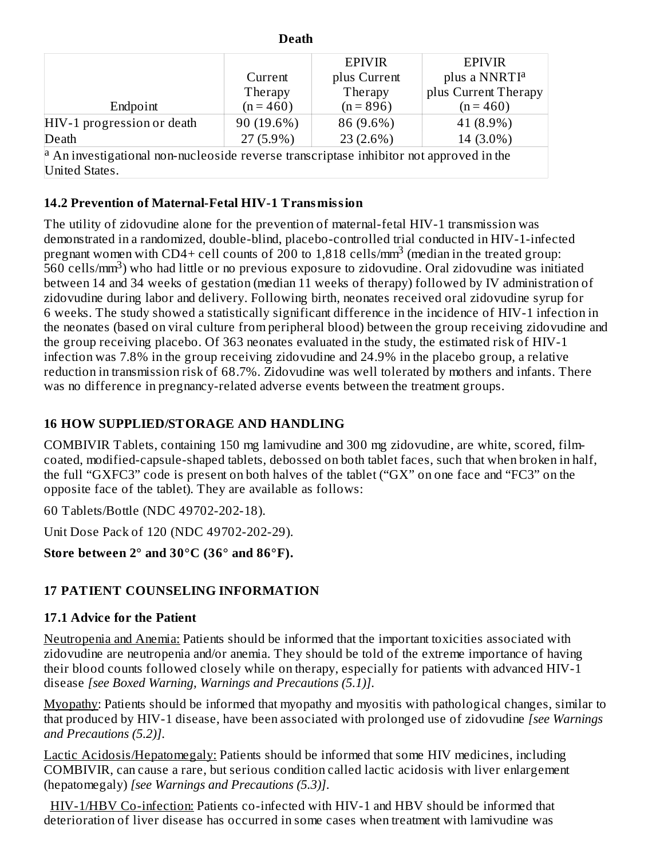| <b>Death</b>                                                                                               |  |  |  |  |  |  |  |  |  |
|------------------------------------------------------------------------------------------------------------|--|--|--|--|--|--|--|--|--|
| <b>EPIVIR</b><br><b>EPIVIR</b>                                                                             |  |  |  |  |  |  |  |  |  |
| plus a NNRTI <sup>a</sup><br>plus Current<br>Current                                                       |  |  |  |  |  |  |  |  |  |
| plus Current Therapy<br>Therapy<br>Therapy                                                                 |  |  |  |  |  |  |  |  |  |
| $(n = 460)$<br>$(n = 896)$<br>Endpoint<br>$(n = 460)$                                                      |  |  |  |  |  |  |  |  |  |
| 90 (19.6%)<br>86 (9.6%)<br>41 (8.9%)<br>HIV-1 progression or death                                         |  |  |  |  |  |  |  |  |  |
| $27(5.9\%)$<br>$23(2.6\%)$<br>14 (3.0%)<br>Death                                                           |  |  |  |  |  |  |  |  |  |
| $\vert$ <sup>a</sup> An investigational non-nucleoside reverse transcriptase inhibitor not approved in the |  |  |  |  |  |  |  |  |  |
| United States.                                                                                             |  |  |  |  |  |  |  |  |  |

## **14.2 Prevention of Maternal-Fetal HIV-1 Transmission**

The utility of zidovudine alone for the prevention of maternal-fetal HIV-1 transmission was demonstrated in a randomized, double-blind, placebo-controlled trial conducted in HIV-1-infected pregnant women with CD4+ cell counts of 200 to 1,818 cells/mm<sup>3</sup> (median in the treated group:  $560$  cells/mm<sup>3</sup>) who had little or no previous exposure to zidovudine. Oral zidovudine was initiated between 14 and 34 weeks of gestation (median 11 weeks of therapy) followed by IV administration of zidovudine during labor and delivery. Following birth, neonates received oral zidovudine syrup for 6 weeks. The study showed a statistically significant difference in the incidence of HIV-1 infection in the neonates (based on viral culture from peripheral blood) between the group receiving zidovudine and the group receiving placebo. Of 363 neonates evaluated in the study, the estimated risk of HIV-1 infection was 7.8% in the group receiving zidovudine and 24.9% in the placebo group, a relative reduction in transmission risk of 68.7%. Zidovudine was well tolerated by mothers and infants. There was no difference in pregnancy-related adverse events between the treatment groups.

#### **16 HOW SUPPLIED/STORAGE AND HANDLING**

COMBIVIR Tablets, containing 150 mg lamivudine and 300 mg zidovudine, are white, scored, filmcoated, modified-capsule-shaped tablets, debossed on both tablet faces, such that when broken in half, the full "GXFC3" code is present on both halves of the tablet ("GX" on one face and "FC3" on the opposite face of the tablet). They are available as follows:

60 Tablets/Bottle (NDC 49702-202-18).

Unit Dose Pack of 120 (NDC 49702-202-29).

**Store between 2° and 30°C (36° and 86°F).**

## **17 PATIENT COUNSELING INFORMATION**

#### **17.1 Advice for the Patient**

Neutropenia and Anemia: Patients should be informed that the important toxicities associated with zidovudine are neutropenia and/or anemia. They should be told of the extreme importance of having their blood counts followed closely while on therapy, especially for patients with advanced HIV-1 disease *[see Boxed Warning, Warnings and Precautions (5.1)]*.

Myopathy: Patients should be informed that myopathy and myositis with pathological changes, similar to that produced by HIV-1 disease, have been associated with prolonged use of zidovudine *[see Warnings and Precautions (5.2)]*.

Lactic Acidosis/Hepatomegaly: Patients should be informed that some HIV medicines, including COMBIVIR, can cause a rare, but serious condition called lactic acidosis with liver enlargement (hepatomegaly) *[see Warnings and Precautions (5.3)]*.

HIV-1/HBV Co-infection: Patients co-infected with HIV-1 and HBV should be informed that deterioration of liver disease has occurred in some cases when treatment with lamivudine was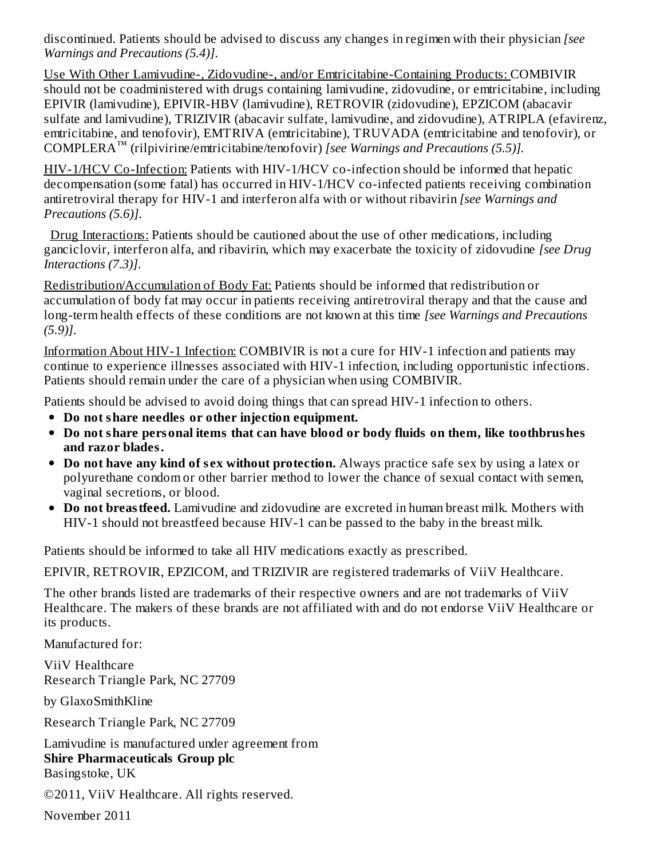discontinued. Patients should be advised to discuss any changes in regimen with their physician *[see Warnings and Precautions (5.4)]*.

Use With Other Lamivudine-, Zidovudine-, and/or Emtricitabine-Containing Products: COMBIVIR should not be coadministered with drugs containing lamivudine, zidovudine, or emtricitabine, including EPIVIR (lamivudine), EPIVIR-HBV (lamivudine), RETROVIR (zidovudine), EPZICOM (abacavir sulfate and lamivudine), TRIZIVIR (abacavir sulfate, lamivudine, and zidovudine), ATRIPLA (efavirenz, emtricitabine, and tenofovir), EMTRIVA (emtricitabine), TRUVADA (emtricitabine and tenofovir), or COMPLERA<sup>™</sup> (rilpivirine/emtricitabine/tenofovir) [see Warnings and Precautions (5.5)].

HIV-1/HCV Co-Infection: Patients with HIV-1/HCV co-infection should be informed that hepatic decompensation (some fatal) has occurred in HIV-1/HCV co-infected patients receiving combination antiretroviral therapy for HIV-1 and interferon alfa with or without ribavirin *[see Warnings and Precautions (5.6)]*.

Drug Interactions: Patients should be cautioned about the use of other medications, including ganciclovir, interferon alfa, and ribavirin, which may exacerbate the toxicity of zidovudine *[see Drug Interactions (7.3)]*.

Redistribution/Accumulation of Body Fat: Patients should be informed that redistribution or accumulation of body fat may occur in patients receiving antiretroviral therapy and that the cause and long-term health effects of these conditions are not known at this time *[see Warnings and Precautions (5.9)]*.

Information About HIV-1 Infection: COMBIVIR is not a cure for HIV-1 infection and patients may continue to experience illnesses associated with HIV-1 infection, including opportunistic infections. Patients should remain under the care of a physician when using COMBIVIR.

Patients should be advised to avoid doing things that can spread HIV-1 infection to others.

- **Do not share needles or other injection equipment.**
- **Do not share personal items that can have blood or body fluids on them, like toothbrushes and razor blades.**
- **Do not have any kind of s ex without protection.** Always practice safe sex by using a latex or polyurethane condom or other barrier method to lower the chance of sexual contact with semen, vaginal secretions, or blood.
- **Do not breastfeed.** Lamivudine and zidovudine are excreted in human breast milk. Mothers with HIV-1 should not breastfeed because HIV-1 can be passed to the baby in the breast milk.

Patients should be informed to take all HIV medications exactly as prescribed.

EPIVIR, RETROVIR, EPZICOM, and TRIZIVIR are registered trademarks of ViiV Healthcare.

The other brands listed are trademarks of their respective owners and are not trademarks of ViiV Healthcare. The makers of these brands are not affiliated with and do not endorse ViiV Healthcare or its products.

Manufactured for:

ViiV Healthcare Research Triangle Park, NC 27709

by GlaxoSmithKline

Research Triangle Park, NC 27709

Lamivudine is manufactured under agreement from **Shire Pharmaceuticals Group plc** Basingstoke, UK

©2011, ViiV Healthcare. All rights reserved.

November 2011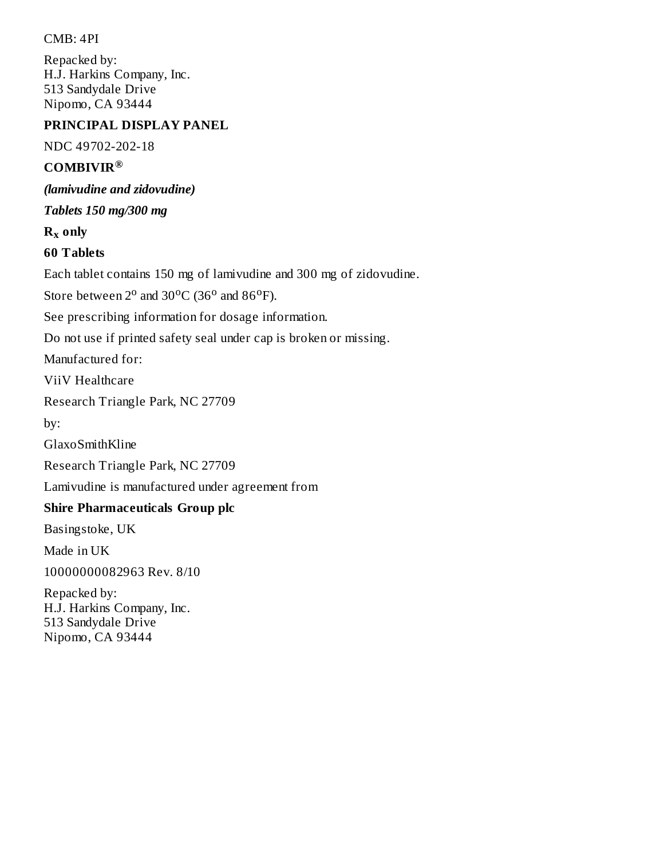CMB: 4PI

Repacked by: H.J. Harkins Company, Inc. 513 Sandydale Drive Nipomo, CA 93444

#### **PRINCIPAL DISPLAY PANEL**

NDC 49702-202-18

#### **COMBIVIR ®**

*(lamivudine and zidovudine)*

*Tablets 150 mg/300 mg*

 $\mathbf{R}_{\mathbf{x}}$  only

#### **60 Tablets**

Each tablet contains 150 mg of lamivudine and 300 mg of zidovudine.

Store between  $2^{\circ}$  and  $30^{\circ}$ C (36 $^{\circ}$  and  $86^{\circ}$ F).

See prescribing information for dosage information.

Do not use if printed safety seal under cap is broken or missing.

Manufactured for:

ViiV Healthcare

Research Triangle Park, NC 27709

by:

GlaxoSmithKline

Research Triangle Park, NC 27709

Lamivudine is manufactured under agreement from

#### **Shire Pharmaceuticals Group plc**

Basingstoke, UK

Made in UK

10000000082963 Rev. 8/10

Repacked by: H.J. Harkins Company, Inc. 513 Sandydale Drive Nipomo, CA 93444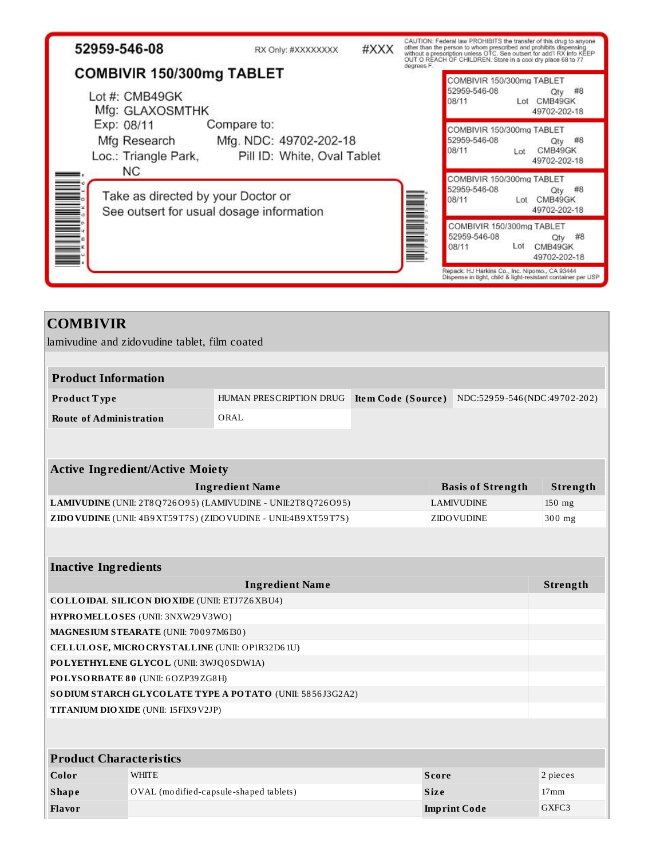| 52959-546-08                                                                                | RX Only: #XXXXXXXX                                                   | #XXX |            |                                                    | CAUTION: Federal law PROHIBITS the transfer of this drug to anyone<br>other than the person to whom prescribed and prohibits dispensing<br>without a prescription unless OTC. See outsert for add'l RX info KEEP<br>OUT O REACH OF CHILDREN. Store in a cool dry place 68 to 77 |
|---------------------------------------------------------------------------------------------|----------------------------------------------------------------------|------|------------|----------------------------------------------------|---------------------------------------------------------------------------------------------------------------------------------------------------------------------------------------------------------------------------------------------------------------------------------|
| COMBIVIR 150/300mg TABLET                                                                   |                                                                      |      | degrees F. | COMBIVIR 150/300mg TABLET                          |                                                                                                                                                                                                                                                                                 |
| Lot #: CMB49GK<br>Mfg: GLAXOSMTHK                                                           |                                                                      |      |            | 52959-546-08<br>08/11                              | #8<br>Qty<br>Lot CMB49GK<br>49702-202-18                                                                                                                                                                                                                                        |
| Exp: 08/11<br>Mfg Research<br>Loc.: Triangle Park,                                          | Compare to:<br>Mfg. NDC: 49702-202-18<br>Pill ID: White, Oval Tablet |      |            | COMBIVIR 150/300mg TABLET<br>52959-546-08<br>08/11 | #8<br>Qty<br>CMB49GK<br>Lot<br>49702-202-18                                                                                                                                                                                                                                     |
| <b>NC</b><br>Take as directed by your Doctor or<br>See outsert for usual dosage information |                                                                      |      |            | COMBIVIR 150/300mg TABLET<br>52959-546-08<br>08/11 | #8<br>Qty<br>CMB49GK<br>Lot<br>49702-202-18                                                                                                                                                                                                                                     |
|                                                                                             |                                                                      |      |            | COMBIVIR 150/300mg TABLET<br>52959-546-08<br>08/11 | #8<br>Qtv<br>Lot<br>CMB49GK<br>49702-202-18                                                                                                                                                                                                                                     |
|                                                                                             |                                                                      |      |            |                                                    | Repack: HJ Harkins Co., Inc. Nipomo., CA 93444<br>Dispense in tight, child & light-resistant container per USP                                                                                                                                                                  |

# **COMBIVIR** lamivudine and zidovudine tablet, film coated **Product Information Product T ype** HUMAN PRESCRIPTION DRUG **Ite m Code (Source )** NDC:529 59 -546 (NDC:49 70 2-20 2) **Route of Administration** ORAL **Active Ingredient/Active Moiety Ingredient Name Basis** of Strength **Strength LAMIVUDINE** (UNII: 2T8Q726O95) (LAMIVUDINE - UNII:2T8Q726O95) LAMIVUDINE 150 mg **ZIDOVUDINE** (UNII: 4B9XT59T7S) (ZIDOVUDINE - UNII:4B9XT59T7S) ZIDOVUDINE 300 mg

| <b>Inactive Ingredients</b>                               |                                                     |                     |                  |  |  |  |
|-----------------------------------------------------------|-----------------------------------------------------|---------------------|------------------|--|--|--|
|                                                           | <b>Ingredient Name</b>                              |                     | Strength         |  |  |  |
|                                                           | <b>COLLOIDAL SILICON DIOXIDE (UNII: ETJ7Z6XBU4)</b> |                     |                  |  |  |  |
|                                                           | HYPROMELLOSES (UNII: 3NXW29V3WO)                    |                     |                  |  |  |  |
|                                                           | MAGNESIUM STEARATE (UNII: 70097M6I30)               |                     |                  |  |  |  |
|                                                           | CELLULOSE, MICRO CRYSTALLINE (UNII: OP1R32D61U)     |                     |                  |  |  |  |
|                                                           | POLYETHYLENE GLYCOL (UNII: 3WJQ0SDW1A)              |                     |                  |  |  |  |
| POLYSORBATE 80 (UNII: 6OZP39ZG8H)                         |                                                     |                     |                  |  |  |  |
| SO DIUM STARCH GLYCOLATE TYPE A POTATO (UNII: 5856J3G2A2) |                                                     |                     |                  |  |  |  |
| <b>TITANIUM DIO XIDE (UNII: 15FIX9 V2JP)</b>              |                                                     |                     |                  |  |  |  |
|                                                           |                                                     |                     |                  |  |  |  |
|                                                           |                                                     |                     |                  |  |  |  |
| <b>Product Characteristics</b>                            |                                                     |                     |                  |  |  |  |
| Color                                                     | <b>WHITE</b>                                        | <b>Score</b>        | 2 pieces         |  |  |  |
| <b>Shape</b>                                              | OVAL (modified-capsule-shaped tablets)              | <b>Size</b>         | 17 <sub>mm</sub> |  |  |  |
| Flavor                                                    |                                                     | <b>Imprint Code</b> | GXFC3            |  |  |  |